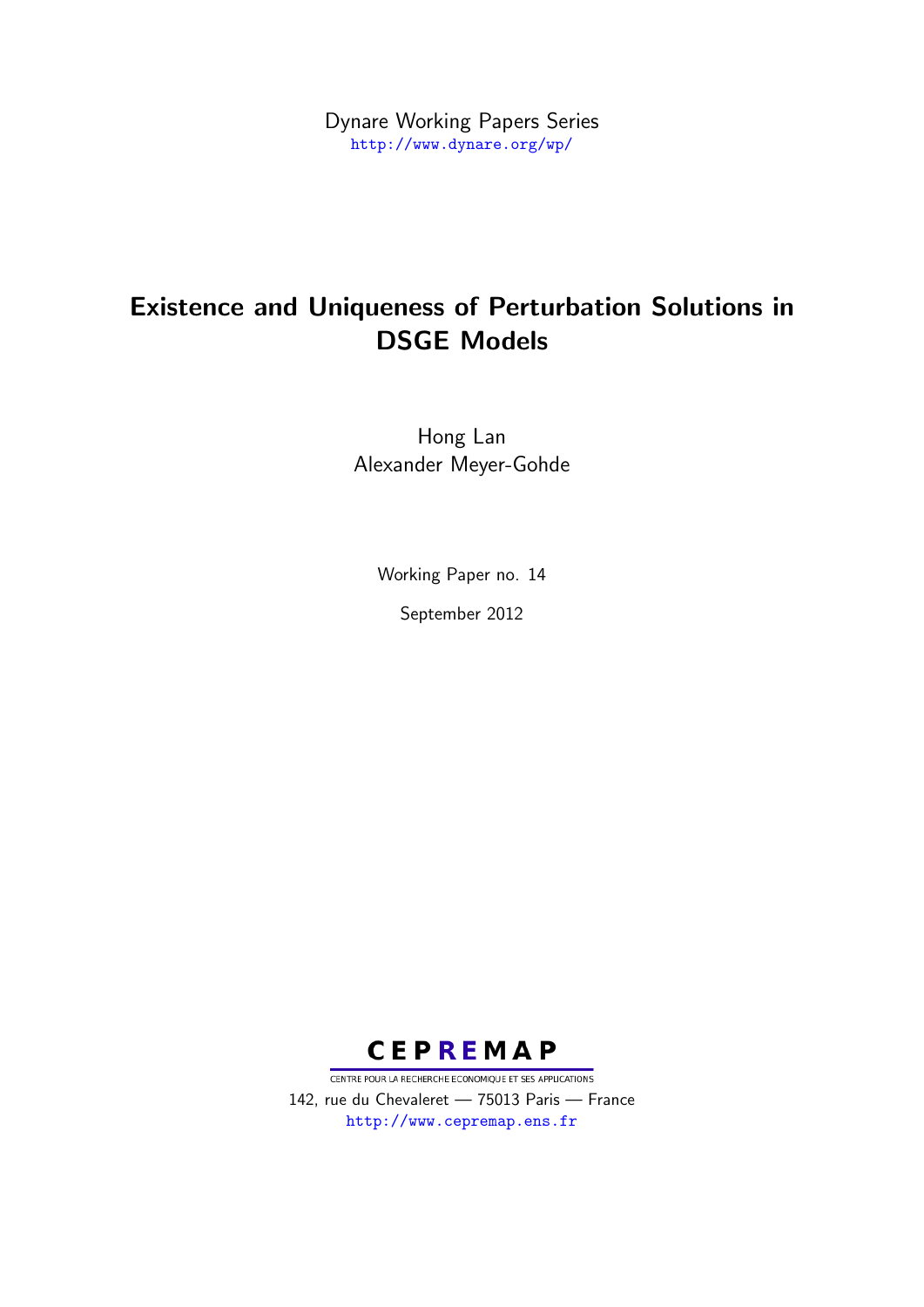Dynare Working Papers Series <http://www.dynare.org/wp/>

# Existence and Uniqueness of Perturbation Solutions in DSGE Models

Hong Lan Alexander Meyer-Gohde

Working Paper no. 14

September 2012



CENTRE POUR LA RECHERCHE ECONOMIQUE ET SES APPLICATIONS 142, rue du Chevaleret — 75013 Paris — France <http://www.cepremap.ens.fr>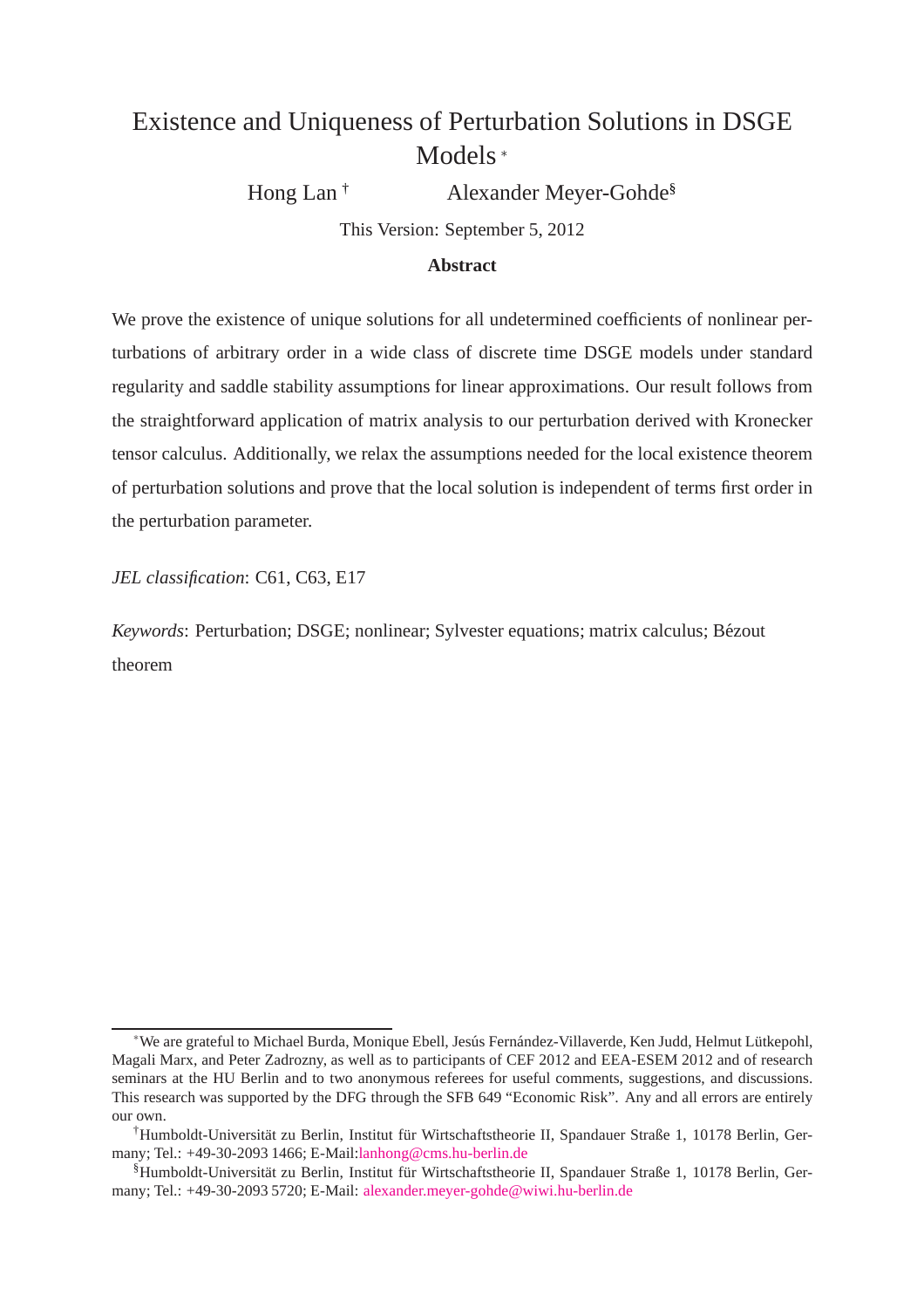# Existence and Uniqueness of Perturbation Solutions in DSGE Models [∗](#page-1-0)

Hong Lan<sup>[†](#page-1-1)</sup> Alexander Meyer-Gohde<sup>[§](#page-1-2)</sup>

This Version: September 5, 2012

#### **Abstract**

We prove the existence of unique solutions for all undetermined coefficients of nonlinear perturbations of arbitrary order in a wide class of discrete time DSGE models under standard regularity and saddle stability assumptions for linear approximations. Our result follows from the straightforward application of matrix analysis to our perturbation derived with Kronecker tensor calculus. Additionally, we relax the assumptions needed for the local existence theorem of perturbation solutions and prove that the local solution is independent of terms first order in the perturbation parameter.

*JEL classification*: C61, C63, E17

*Keywords*: Perturbation; DSGE; nonlinear; Sylvester equations; matrix calculus; Bézout theorem

<span id="page-1-0"></span><sup>∗</sup>We are grateful to Michael Burda, Monique Ebell, Jes´us Fern´andez-Villaverde, Ken Judd, Helmut L¨utkepohl, Magali Marx, and Peter Zadrozny, as well as to participants of CEF 2012 and EEA-ESEM 2012 and of research seminars at the HU Berlin and to two anonymous referees for useful comments, suggestions, and discussions. This research was supported by the DFG through the SFB 649 "Economic Risk". Any and all errors are entirely our own.

<span id="page-1-1"></span><sup>&</sup>lt;sup>†</sup>Humboldt-Universität zu Berlin, Institut für Wirtschaftstheorie II, Spandauer Straße 1, 10178 Berlin, Germany; Tel.: +49-30-2093 1466; E-Mail[:lanhong@cms.hu-berlin.de](mailto:lanhong@cms.hu-berlin.de)

<span id="page-1-2"></span><sup>§</sup>Humboldt-Universität zu Berlin, Institut für Wirtschaftstheorie II, Spandauer Straße 1, 10178 Berlin, Germany; Tel.: +49-30-2093 5720; E-Mail: [alexander.meyer-gohde@wiwi.hu-berlin.de](mailto:alexander.meyer-gohde@wiwi.hu-berlin.de)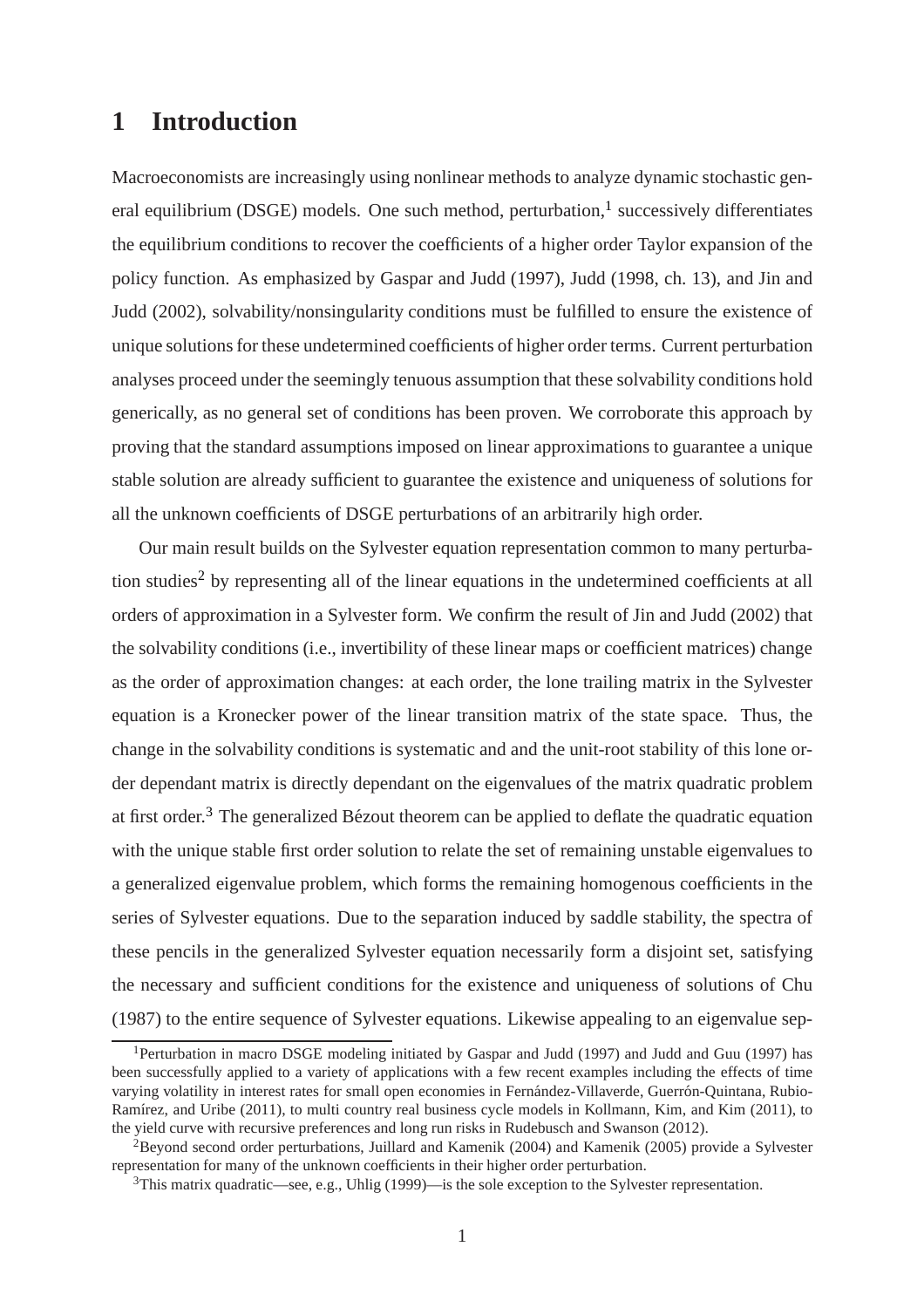## **1 Introduction**

Macroeconomists are increasingly using nonlinear methods to analyze dynamic stochastic gen-eral equilibrium (DSGE) models. One such method, perturbation,<sup>[1](#page-2-0)</sup> successively differentiates the equilibrium conditions to recover the coefficients of a higher order Taylor expansion of the policy function. As emphasized by Gaspar and Judd (1997), Judd (1998, ch. 13), and Jin and Judd (2002), solvability/nonsingularity conditions must be fulfilled to ensure the existence of unique solutions for these undetermined coefficients of higher order terms. Current perturbation analyses proceed under the seemingly tenuous assumption that these solvability conditions hold generically, as no general set of conditions has been proven. We corroborate this approach by proving that the standard assumptions imposed on linear approximations to guarantee a unique stable solution are already sufficient to guarantee the existence and uniqueness of solutions for all the unknown coefficients of DSGE perturbations of an arbitrarily high order.

Our main result builds on the Sylvester equation representation common to many perturba-tion studies<sup>[2](#page-2-1)</sup> by representing all of the linear equations in the undetermined coefficients at all orders of approximation in a Sylvester form. We confirm the result of Jin and Judd (2002) that the solvability conditions (i.e., invertibility of these linear maps or coefficient matrices) change as the order of approximation changes: at each order, the lone trailing matrix in the Sylvester equation is a Kronecker power of the linear transition matrix of the state space. Thus, the change in the solvability conditions is systematic and and the unit-root stability of this lone order dependant matrix is directly dependant on the eigenvalues of the matrix quadratic problem at first order.<sup>[3](#page-2-2)</sup> The generalized Bézout theorem can be applied to deflate the quadratic equation with the unique stable first order solution to relate the set of remaining unstable eigenvalues to a generalized eigenvalue problem, which forms the remaining homogenous coefficients in the series of Sylvester equations. Due to the separation induced by saddle stability, the spectra of these pencils in the generalized Sylvester equation necessarily form a disjoint set, satisfying the necessary and sufficient conditions for the existence and uniqueness of solutions of Chu (1987) to the entire sequence of Sylvester equations. Likewise appealing to an eigenvalue sep-

<span id="page-2-0"></span><sup>&</sup>lt;sup>1</sup>Perturbation in macro DSGE modeling initiated by Gaspar and Judd (1997) and Judd and Guu (1997) has been successfully applied to a variety of applications with a few recent examples including the effects of time varying volatility in interest rates for small open economies in Fernández-Villaverde, Guerrón-Quintana, Rubio-Ramírez, and Uribe (2011), to multi country real business cycle models in Kollmann, Kim, and Kim (2011), to the yield curve with recursive preferences and long run risks in Rudebusch and Swanson (2012).

<sup>2</sup>Beyond second order perturbations, Juillard and Kamenik (2004) and Kamenik (2005) provide a Sylvester representation for many of the unknown coefficients in their higher order perturbation.

<span id="page-2-2"></span><span id="page-2-1"></span> $3$ This matrix quadratic—see, e.g., Uhlig (1999)—is the sole exception to the Sylvester representation.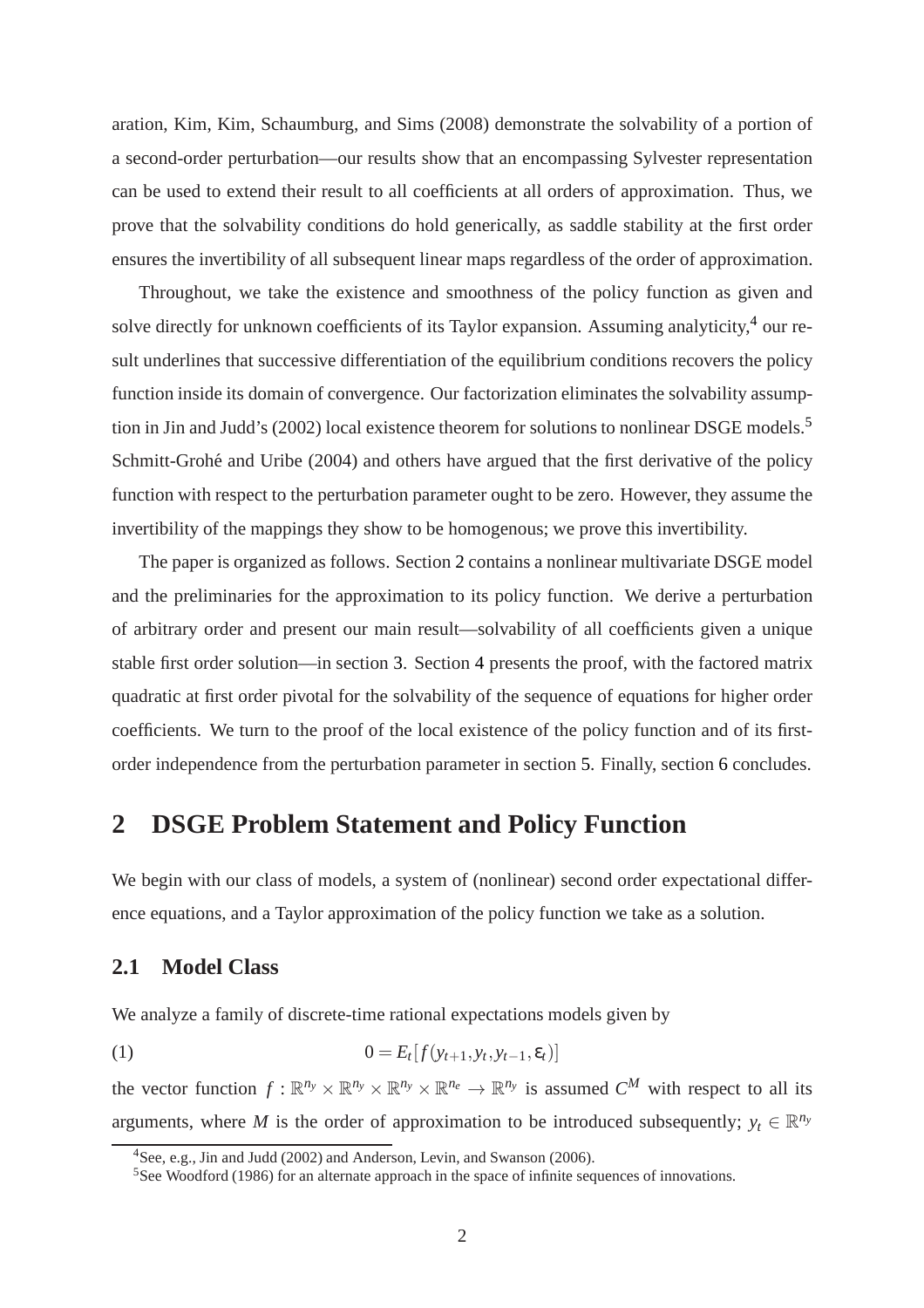aration, Kim, Kim, Schaumburg, and Sims (2008) demonstrate the solvability of a portion of a second-order perturbation—our results show that an encompassing Sylvester representation can be used to extend their result to all coefficients at all orders of approximation. Thus, we prove that the solvability conditions do hold generically, as saddle stability at the first order ensures the invertibility of all subsequent linear maps regardless of the order of approximation.

Throughout, we take the existence and smoothness of the policy function as given and solve directly for unknown coefficients of its Taylor expansion. Assuming analyticity,<sup>[4](#page-3-0)</sup> our result underlines that successive differentiation of the equilibrium conditions recovers the policy function inside its domain of convergence. Our factorization eliminates the solvability assumption in Jin and Judd's (2002) local existence theorem for solutions to nonlinear DSGE models.[5](#page-3-1) Schmitt-Grohé and Uribe (2004) and others have argued that the first derivative of the policy function with respect to the perturbation parameter ought to be zero. However, they assume the invertibility of the mappings they show to be homogenous; we prove this invertibility.

The paper is organized as follows. Section [2](#page-3-2) contains a nonlinear multivariate DSGE model and the preliminaries for the approximation to its policy function. We derive a perturbation of arbitrary order and present our main result—solvability of all coefficients given a unique stable first order solution—in section [3.](#page-6-0) Section [4](#page-8-0) presents the proof, with the factored matrix quadratic at first order pivotal for the solvability of the sequence of equations for higher order coefficients. We turn to the proof of the local existence of the policy function and of its firstorder independence from the perturbation parameter in section [5.](#page-12-0) Finally, section [6](#page-14-0) concludes.

## <span id="page-3-2"></span>**2 DSGE Problem Statement and Policy Function**

We begin with our class of models, a system of (nonlinear) second order expectational difference equations, and a Taylor approximation of the policy function we take as a solution.

### **2.1 Model Class**

We analyze a family of discrete-time rational expectations models given by

<span id="page-3-3"></span>(1) 
$$
0 = E_t[f(y_{t+1}, y_t, y_{t-1}, \varepsilon_t)]
$$

the vector function  $f: \mathbb{R}^{n_y} \times \mathbb{R}^{n_y} \times \mathbb{R}^{n_y} \times \mathbb{R}^{n_e} \to \mathbb{R}^{n_y}$  is assumed  $C^M$  with respect to all its arguments, where *M* is the order of approximation to be introduced subsequently;  $y_t \in \mathbb{R}^{n_y}$ 

<sup>4</sup>See, e.g., Jin and Judd (2002) and Anderson, Levin, and Swanson (2006).

<span id="page-3-1"></span><span id="page-3-0"></span><sup>&</sup>lt;sup>5</sup>See Woodford (1986) for an alternate approach in the space of infinite sequences of innovations.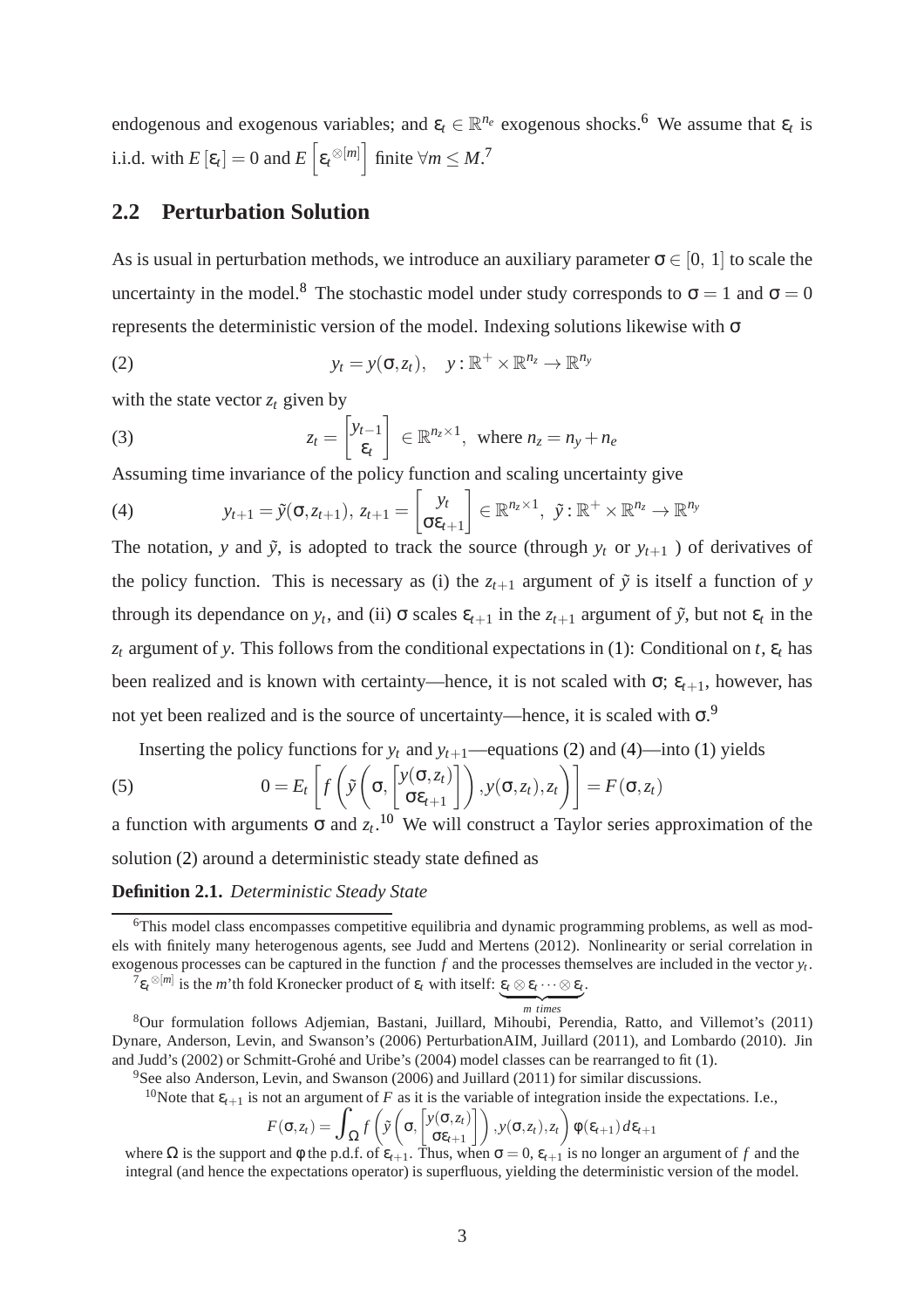endogenous and exogenous variables; and  $\varepsilon_t \in \mathbb{R}^{n_e}$  exogenous shocks.<sup>[6](#page-4-0)</sup> We assume that  $\varepsilon_t$  is i.i.d. with  $E\left[\varepsilon_t\right] = 0$  and  $E\left[\varepsilon_t^{\otimes [m]}\right]$  finite  $\forall m \le M$ .<sup>[7](#page-4-1)</sup>

## **2.2 Perturbation Solution**

As is usual in perturbation methods, we introduce an auxiliary parameter  $\sigma \in [0, 1]$  to scale the uncertainty in the model.<sup>[8](#page-4-2)</sup> The stochastic model under study corresponds to  $\sigma = 1$  and  $\sigma = 0$ represents the deterministic version of the model. Indexing solutions likewise with  $\sigma$ 

<span id="page-4-4"></span>(2) 
$$
y_t = y(\sigma, z_t), \quad y : \mathbb{R}^+ \times \mathbb{R}^{n_z} \to \mathbb{R}^{n_y}
$$

with the state vector  $z_t$  given by

(3) 
$$
z_t = \begin{bmatrix} y_{t-1} \\ \varepsilon_t \end{bmatrix} \in \mathbb{R}^{n_z \times 1}, \text{ where } n_z = n_y + n_e
$$

Assuming time invariance of the policy function and scaling uncertainty give

<span id="page-4-5"></span>(4) 
$$
y_{t+1} = \tilde{y}(\sigma, z_{t+1}), z_{t+1} = \begin{bmatrix} y_t \\ \sigma \varepsilon_{t+1} \end{bmatrix} \in \mathbb{R}^{n_z \times 1}, \ \tilde{y} : \mathbb{R}^+ \times \mathbb{R}^{n_z} \to \mathbb{R}^{n_y}
$$

The notation, *y* and  $\tilde{y}$ , is adopted to track the source (through  $y_t$  or  $y_{t+1}$ ) of derivatives of the policy function. This is necessary as (i) the  $z_{t+1}$  argument of  $\tilde{y}$  is itself a function of *y* through its dependance on  $y_t$ , and (ii)  $\sigma$  scales  $\varepsilon_{t+1}$  in the  $z_{t+1}$  argument of  $\tilde{y}$ , but not  $\varepsilon_t$  in the  $z_t$  argument of *y*. This follows from the conditional expectations in [\(1\)](#page-3-3): Conditional on *t*,  $\varepsilon_t$  has been realized and is known with certainty—hence, it is not scaled with  $\sigma$ ;  $\varepsilon$ <sub>t+1</sub>, however, has not yet been realized and is the source of uncertainty—hence, it is scaled with  $\sigma$ .

Inserting the policy functions for  $y_t$  and  $y_{t+1}$ —equations [\(2\)](#page-4-4) and [\(4\)](#page-4-5)—into [\(1\)](#page-3-3) yields

<span id="page-4-7"></span>(5) 
$$
0 = E_t \left[ f \left( \tilde{y} \left( \sigma, \begin{bmatrix} y(\sigma, z_t) \\ \sigma \varepsilon_{t+1} \end{bmatrix} \right), y(\sigma, z_t), z_t \right) \right] = F(\sigma, z_t)
$$

a function with arguments  $\sigma$  and  $z_t$ .<sup>[10](#page-4-6)</sup> We will construct a Taylor series approximation of the solution [\(2\)](#page-4-4) around a deterministic steady state defined as

#### **Definition 2.1.** *Deterministic Steady State*

<span id="page-4-6"></span><span id="page-4-3"></span><sup>10</sup>Note that  $\varepsilon_{t+1}$  is not an argument of *F* as it is the variable of integration inside the expectations. I.e.,

$$
F(\sigma, z_t) = \int_{\Omega} f\left(\tilde{y}\left(\sigma, \begin{bmatrix}y(\sigma, z_t) \\ \sigma \varepsilon_{t+1}\end{bmatrix}\right), y(\sigma, z_t), z_t\right) \phi(\varepsilon_{t+1}) d\varepsilon_{t+1}
$$

where  $\Omega$  is the support and  $\phi$  the p.d.f. of  $\varepsilon_{t+1}$ . Thus, when  $\sigma = 0$ ,  $\varepsilon_{t+1}$  is no longer an argument of f and the integral (and hence the expectations operator) is superfluous, yielding the deterministic version of the model.

<span id="page-4-0"></span><sup>&</sup>lt;sup>6</sup>This model class encompasses competitive equilibria and dynamic programming problems, as well as models with finitely many heterogenous agents, see Judd and Mertens (2012). Nonlinearity or serial correlation in exogenous processes can be captured in the function *f* and the processes themselves are included in the vector *y<sup>t</sup>* .

<span id="page-4-1"></span><sup>&</sup>lt;sup>7</sup>ε<sub>*t*</sub> ⊗[*m*] is the *m*'th fold Kronecker product of ε<sub>*t*</sub> with itself: ε<sub>*t*</sub> ⊗ ε<sub>*t*</sub> ··· ⊗ ε<sub>*t*</sub>.

<sup>|</sup> {z } *m times* <sup>8</sup>Our formulation follows Adjemian, Bastani, Juillard, Mihoubi, Perendia, Ratto, and Villemot's (2011) Dynare, Anderson, Levin, and Swanson's (2006) PerturbationAIM, Juillard (2011), and Lombardo (2010). Jin and Judd's (2002) or Schmitt-Grohé and Uribe's (2004) model classes can be rearranged to fit [\(1\)](#page-3-3).

<span id="page-4-2"></span><sup>&</sup>lt;sup>9</sup>See also Anderson, Levin, and Swanson (2006) and Juillard (2011) for similar discussions.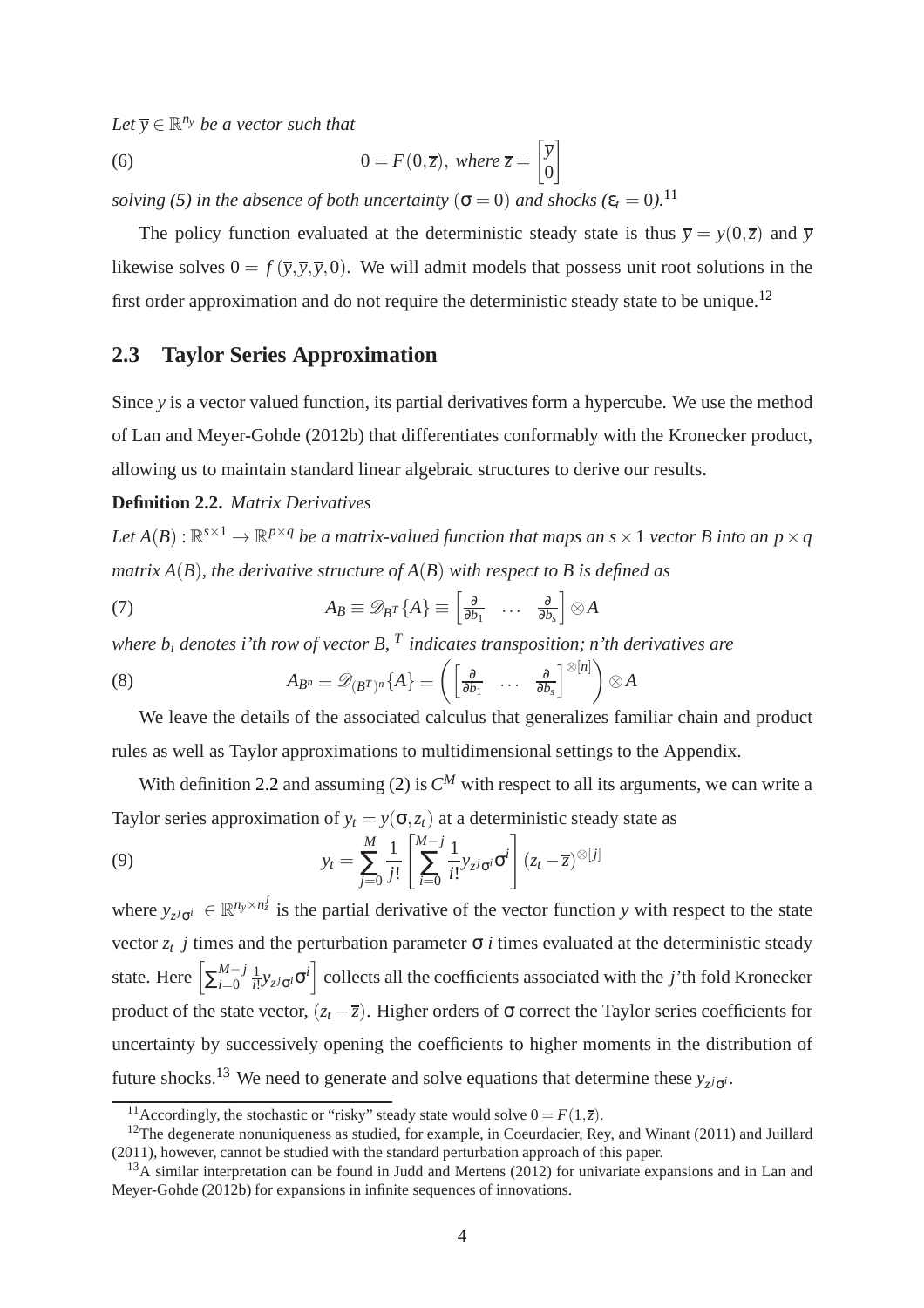$Let \overline{y} \in \mathbb{R}^{n_y}$  *be a vector such that* 

<span id="page-5-5"></span>(6) 
$$
0 = F(0,\overline{z}), \text{ where } \overline{z} = \begin{bmatrix} \overline{y} \\ 0 \end{bmatrix}
$$

*solving* [\(5\)](#page-4-7) *in the absence of both uncertainty* ( $\sigma = 0$ ) *and shocks* ( $\varepsilon_t = 0$ ).<sup>[11](#page-5-0)</sup>

The policy function evaluated at the deterministic steady state is thus  $\overline{y} = y(0, \overline{z})$  and  $\overline{y}$ likewise solves  $0 = f(\overline{y}, \overline{y}, \overline{y}, 0)$ . We will admit models that possess unit root solutions in the first order approximation and do not require the deterministic steady state to be unique.[12](#page-5-1)

## **2.3 Taylor Series Approximation**

Since *v* is a vector valued function, its partial derivatives form a hypercube. We use the method of Lan and Meyer-Gohde (2012b) that differentiates conformably with the Kronecker product, allowing us to maintain standard linear algebraic structures to derive our results.

### <span id="page-5-2"></span>**Definition 2.2.** *Matrix Derivatives*

Let  $A(B): \mathbb{R}^{s \times 1} \to \mathbb{R}^{p \times q}$  be a matrix-valued function that maps an  $s \times 1$  vector  $B$  into an  $p \times q$ *matrix A*(*B*)*, the derivative structure of A*(*B*) *with respect to B is defined as*

(7) 
$$
A_B \equiv \mathscr{D}_{B^T} \{ A \} \equiv \begin{bmatrix} \frac{\partial}{\partial b_1} & \cdots & \frac{\partial}{\partial b_s} \end{bmatrix} \otimes A
$$

*where b<sup>i</sup> denotes i'th row of vector B, <sup>T</sup> indicates transposition; n'th derivatives are*

(8) 
$$
A_{B^n} \equiv \mathscr{D}_{(B^T)^n} \{A\} \equiv \left( \begin{bmatrix} \frac{\partial}{\partial b_1} & \cdots & \frac{\partial}{\partial b_s} \end{bmatrix}^{\otimes [n]} \right) \otimes A
$$

We leave the details of the associated calculus that generalizes familiar chain and product rules as well as Taylor approximations to multidimensional settings to the Appendix.

With definition [2.2](#page-5-2) and assuming [\(2\)](#page-4-4) is  $C^M$  with respect to all its arguments, we can write a Taylor series approximation of  $y_t = y(\sigma, z_t)$  at a deterministic steady state as

<span id="page-5-4"></span>(9) 
$$
y_t = \sum_{j=0}^{M} \frac{1}{j!} \left[ \sum_{i=0}^{M-j} \frac{1}{i!} y_{z^j \sigma^i} \sigma^i \right] (z_t - \overline{z})^{\otimes [j]}
$$

where  $y_{z^j\sigma^i} \in \mathbb{R}^{n_y \times n_z^j}$  is the partial derivative of the vector function *y* with respect to the state vector  $z_t$  *j* times and the perturbation parameter  $\sigma$  *i* times evaluated at the deterministic steady state. Here  $\left[\sum_{i=0}^{M-j}\right]$ *i*=0 1  $\frac{1}{i!} y_{z^j \sigma^i}$  collects all the coefficients associated with the *j*'th fold Kronecker product of the state vector,  $(z_t - \overline{z})$ . Higher orders of  $\sigma$  correct the Taylor series coefficients for uncertainty by successively opening the coefficients to higher moments in the distribution of future shocks.<sup>[13](#page-5-3)</sup> We need to generate and solve equations that determine these  $y_{z^j\sigma^i}$ .

<span id="page-5-0"></span><sup>&</sup>lt;sup>11</sup>Accordingly, the stochastic or "risky" steady state would solve  $0 = F(1,\overline{z})$ .

<span id="page-5-1"></span><sup>&</sup>lt;sup>12</sup>The degenerate nonuniqueness as studied, for example, in Coeurdacier, Rey, and Winant (2011) and Juillard (2011), however, cannot be studied with the standard perturbation approach of this paper.

<span id="page-5-3"></span><sup>&</sup>lt;sup>13</sup>A similar interpretation can be found in Judd and Mertens (2012) for univariate expansions and in Lan and Meyer-Gohde (2012b) for expansions in infinite sequences of innovations.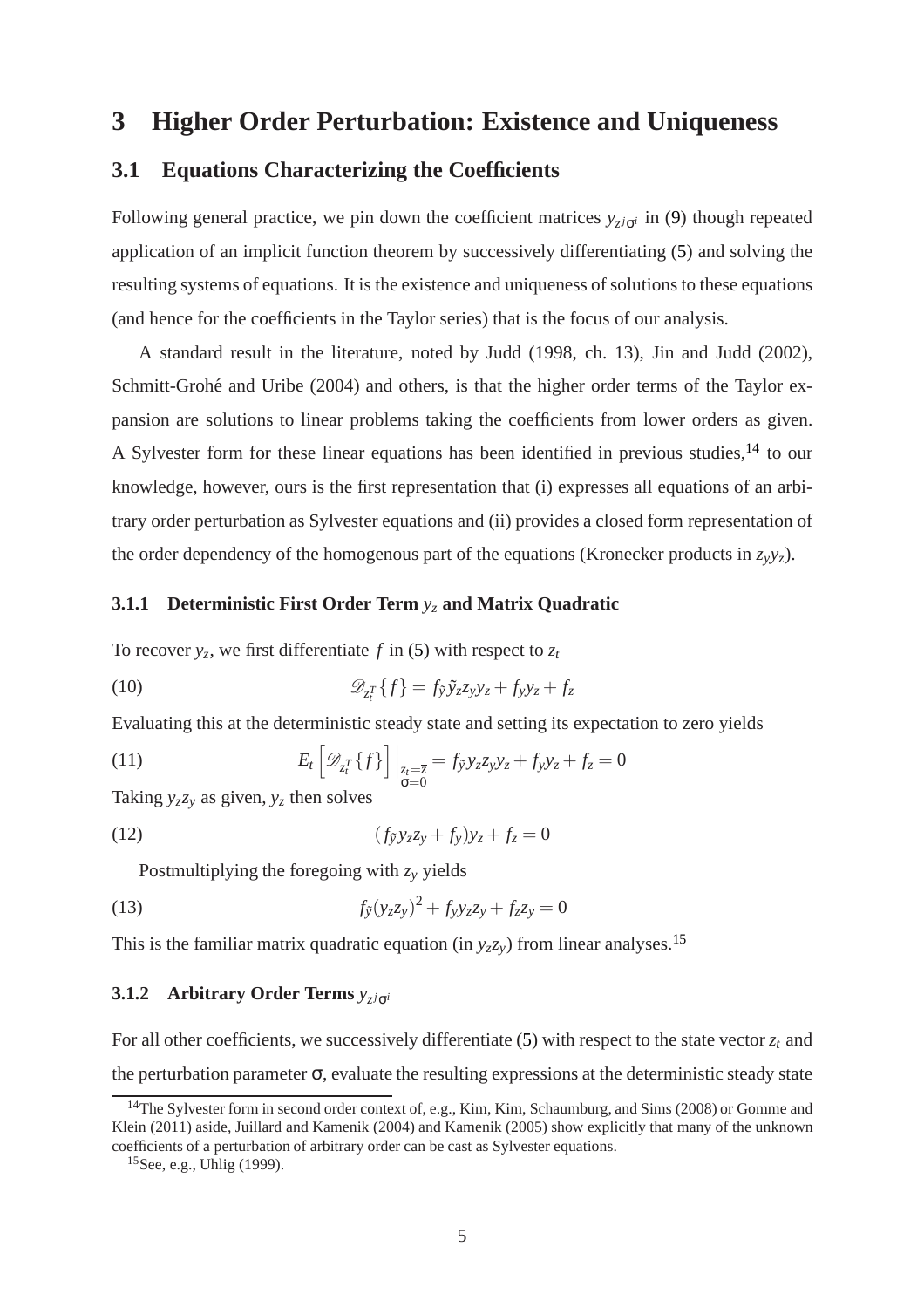## <span id="page-6-0"></span>**3 Higher Order Perturbation: Existence and Uniqueness**

### **3.1 Equations Characterizing the Coefficients**

Following general practice, we pin down the coefficient matrices  $y_{z}$ *j*<sub>σ</sub>*i* in [\(9\)](#page-5-4) though repeated application of an implicit function theorem by successively differentiating [\(5\)](#page-4-7) and solving the resulting systems of equations. It is the existence and uniqueness of solutions to these equations (and hence for the coefficients in the Taylor series) that is the focus of our analysis.

A standard result in the literature, noted by Judd (1998, ch. 13), Jin and Judd (2002), Schmitt-Grohé and Uribe (2004) and others, is that the higher order terms of the Taylor expansion are solutions to linear problems taking the coefficients from lower orders as given. A Sylvester form for these linear equations has been identified in previous studies,<sup>[14](#page-6-1)</sup> to our knowledge, however, ours is the first representation that (i) expresses all equations of an arbitrary order perturbation as Sylvester equations and (ii) provides a closed form representation of the order dependency of the homogenous part of the equations (Kronecker products in  $z_y y_z$ ).

#### **3.1.1 Deterministic First Order Term** *y<sup>z</sup>* **and Matrix Quadratic**

To recover  $y_z$ , we first differentiate  $f$  in [\(5\)](#page-4-7) with respect to  $z_t$ 

<span id="page-6-5"></span>(10) 
$$
\mathscr{D}_{z_i^T}\lbrace f \rbrace = f_{\tilde{y}}\tilde{y}_z z_y y_z + f_y y_z + f_z
$$

Evaluating this at the deterministic steady state and setting its expectation to zero yields

(11) 
$$
E_t\left[\mathcal{D}_{z_t^T}\{f\}\right]\Big|_{z_t=\overline{z}}=f_{\tilde{y}}y_zz_yy_z+f_yy_z+f_z=0
$$

<span id="page-6-3"></span>Taking  $y_zz_y$  as given,  $y_z$  then solves

$$
(12)\qquad \qquad (f_{\tilde{y}}y_{z}z_{y}+f_{y})y_{z}+f_{z}=0
$$

Postmultiplying the foregoing with *z<sup>y</sup>* yields

<span id="page-6-4"></span>(13) 
$$
f_{\tilde{y}}(y_z z_y)^2 + f_y y_z z_y + f_z z_y = 0
$$

This is the familiar matrix quadratic equation (in  $y_z z_y$ ) from linear analyses.<sup>[15](#page-6-2)</sup>

## **3.1.2** Arbitrary Order Terms  $y_{z^j\sigma^i}$

For all other coefficients, we successively differentiate  $(5)$  with respect to the state vector  $z_t$  and the perturbation parameter  $\sigma$ , evaluate the resulting expressions at the deterministic steady state

<span id="page-6-1"></span><sup>&</sup>lt;sup>14</sup>The Sylvester form in second order context of, e.g., Kim, Kim, Schaumburg, and Sims (2008) or Gomme and Klein (2011) aside, Juillard and Kamenik (2004) and Kamenik (2005) show explicitly that many of the unknown coefficients of a perturbation of arbitrary order can be cast as Sylvester equations.

<span id="page-6-2"></span><sup>15</sup>See, e.g., Uhlig (1999).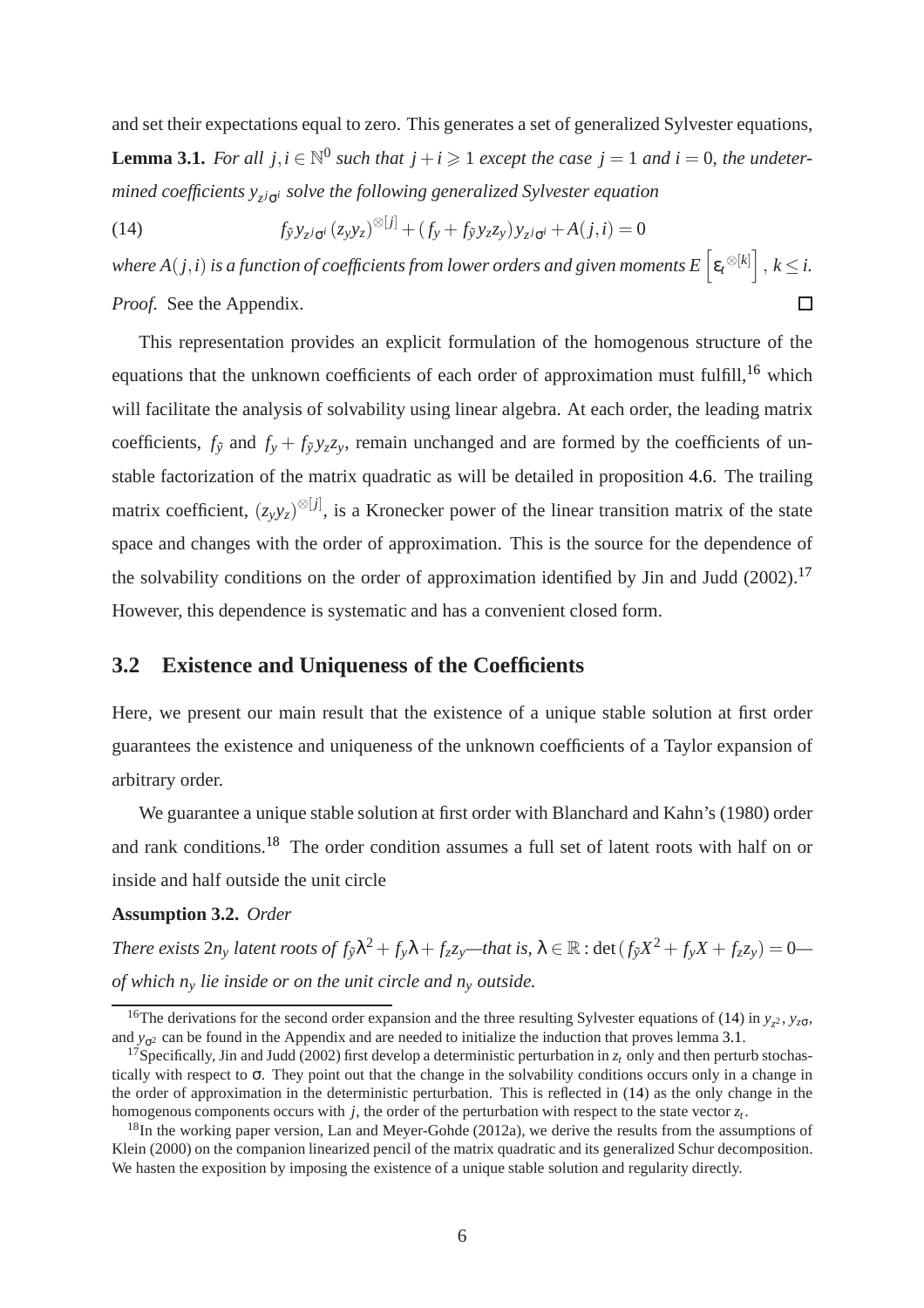<span id="page-7-4"></span>and set their expectations equal to zero. This generates a set of generalized Sylvester equations, **Lemma 3.1.** *For all*  $j, i \in \mathbb{N}^0$  *such that*  $j + i \geq 1$  *except the case*  $j = 1$  *and*  $i = 0$ *, the undetermined coefficients y<sup>z</sup> <sup>j</sup>*σ*<sup>i</sup> solve the following generalized Sylvester equation*

<span id="page-7-3"></span>(14)  $f_{\tilde{y}} y_{z^j \sigma^i} (z_y y_z)^{\otimes [j]} + (f_y + f_{\tilde{y}} y_z z_y) y_{z^j \sigma^i} + A(j, i) = 0$ 

where A(  $j$  ,  $i$  ) is a function of coefficients from lower orders and given moments E  $\left[\epsilon_t^{\otimes [k]}\right],$   $k$   $\leq$   $i$ . *Proof.* See the Appendix.  $\Box$ 

This representation provides an explicit formulation of the homogenous structure of the equations that the unknown coefficients of each order of approximation must fulfill,<sup>[16](#page-7-0)</sup> which will facilitate the analysis of solvability using linear algebra. At each order, the leading matrix coefficients,  $f_{\tilde{y}}$  and  $f_y + f_{\tilde{y}}y_zz_y$ , remain unchanged and are formed by the coefficients of unstable factorization of the matrix quadratic as will be detailed in proposition [4.6.](#page-10-0) The trailing matrix coefficient,  $(z_y y_z)^{\otimes [j]}$ , is a Kronecker power of the linear transition matrix of the state space and changes with the order of approximation. This is the source for the dependence of the solvability conditions on the order of approximation identified by Jin and Judd (2002).<sup>[17](#page-7-1)</sup> However, this dependence is systematic and has a convenient closed form.

## **3.2 Existence and Uniqueness of the Coefficients**

Here, we present our main result that the existence of a unique stable solution at first order guarantees the existence and uniqueness of the unknown coefficients of a Taylor expansion of arbitrary order.

We guarantee a unique stable solution at first order with Blanchard and Kahn's (1980) order and rank conditions.[18](#page-7-2) The order condition assumes a full set of latent roots with half on or inside and half outside the unit circle

#### <span id="page-7-5"></span>**Assumption 3.2.** *Order*

There exists  $2n_y$  latent roots of  $f_{\tilde{y}}\lambda^2+f_y\lambda+f_zz_y$ —that is,  $\lambda\in\mathbb{R}$  :  $\det(f_{\tilde{y}}X^2+f_yX+f_zz_y)=0$  *of which n<sup>y</sup> lie inside or on the unit circle and n<sup>y</sup> outside.*

<span id="page-7-0"></span><sup>&</sup>lt;sup>16</sup>The derivations for the second order expansion and the three resulting Sylvester equations of [\(14\)](#page-7-3) in  $y_z$ ,  $y_{z\sigma}$ , and  $y_{\sigma^2}$  can be found in the Appendix and are needed to initialize the induction that proves lemma [3.1.](#page-7-4)

<span id="page-7-1"></span><sup>&</sup>lt;sup>17</sup>Specifically, Jin and Judd (2002) first develop a deterministic perturbation in  $z<sub>t</sub>$  only and then perturb stochastically with respect to σ. They point out that the change in the solvability conditions occurs only in a change in the order of approximation in the deterministic perturbation. This is reflected in [\(14\)](#page-7-3) as the only change in the homogenous components occurs with *j*, the order of the perturbation with respect to the state vector *z<sup>t</sup>* .

<span id="page-7-2"></span><sup>&</sup>lt;sup>18</sup>In the working paper version, Lan and Meyer-Gohde (2012a), we derive the results from the assumptions of Klein (2000) on the companion linearized pencil of the matrix quadratic and its generalized Schur decomposition. We hasten the exposition by imposing the existence of a unique stable solution and regularity directly.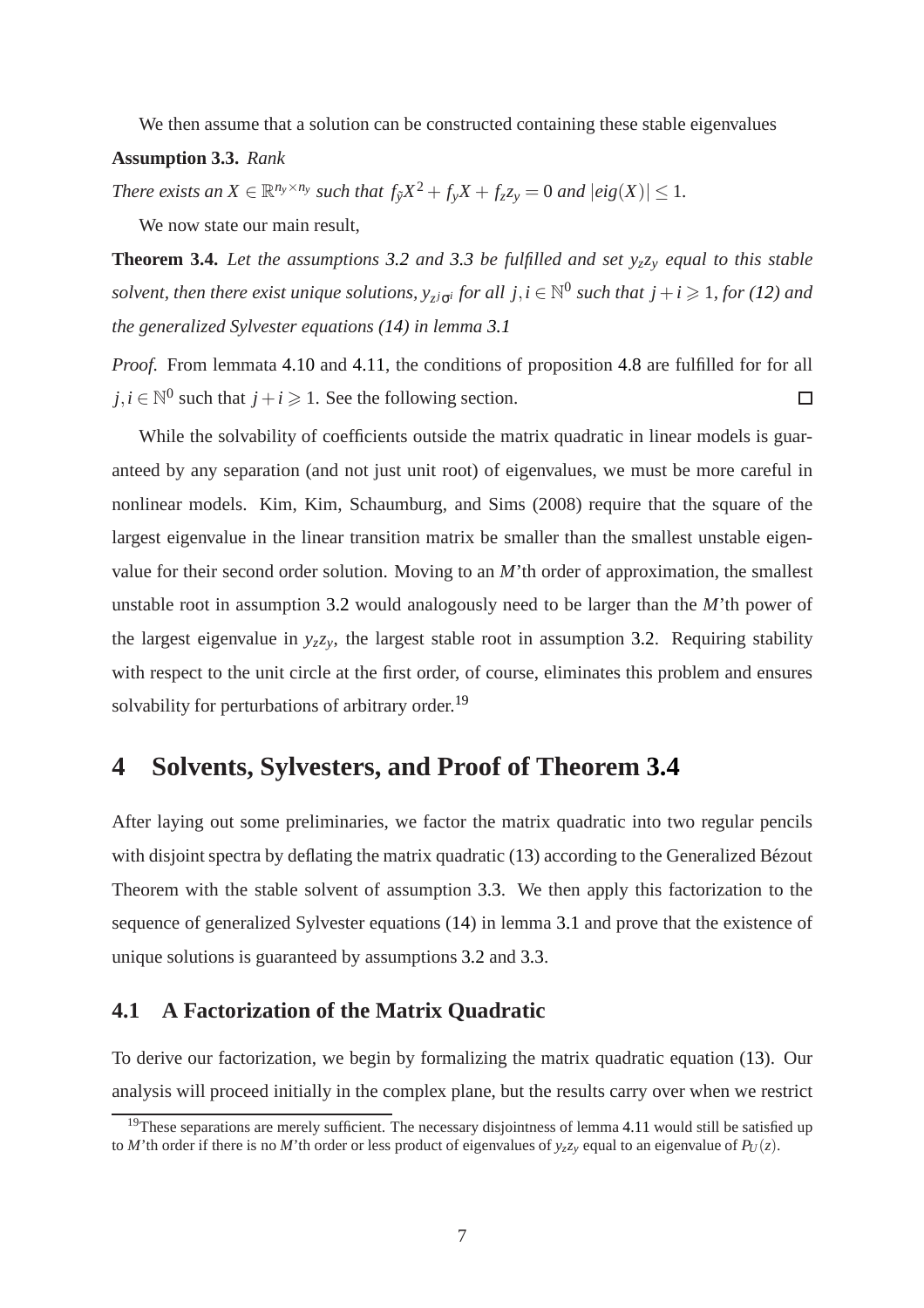<span id="page-8-1"></span>We then assume that a solution can be constructed containing these stable eigenvalues

**Assumption 3.3.** *Rank*

<span id="page-8-3"></span>*There exists an*  $X \in \mathbb{R}^{n_y \times n_y}$  *such that*  $f_{\tilde{y}}X^2 + f_{y}X + f_{z}Z_y = 0$  *and*  $|eig(X)| \leq 1$ *.* 

We now state our main result,

**Theorem 3.4.** *Let the assumptions [3.2](#page-7-5) and [3.3](#page-8-1) be fulfilled and set yzz<sup>y</sup> equal to this stable solvent, then there exist unique solutions,*  $y_{z^jG^i}$  *for all*  $j, i \in \mathbb{N}^0$  *such that*  $j + i \geqslant 1$ *, for [\(12\)](#page-6-3) and the generalized Sylvester equations [\(14\)](#page-7-3) in lemma [3.1](#page-7-4)*

*Proof.* From lemmata [4.10](#page-11-0) and [4.11,](#page-12-1) the conditions of proposition [4.8](#page-11-1) are fulfilled for for all  $j, i \in \mathbb{N}^0$  such that  $j + i \geq 1$ . See the following section.  $\Box$ 

While the solvability of coefficients outside the matrix quadratic in linear models is guaranteed by any separation (and not just unit root) of eigenvalues, we must be more careful in nonlinear models. Kim, Kim, Schaumburg, and Sims (2008) require that the square of the largest eigenvalue in the linear transition matrix be smaller than the smallest unstable eigenvalue for their second order solution. Moving to an *M*'th order of approximation, the smallest unstable root in assumption [3.2](#page-7-5) would analogously need to be larger than the *M*'th power of the largest eigenvalue in  $y_zz_y$ , the largest stable root in assumption [3.2.](#page-7-5) Requiring stability with respect to the unit circle at the first order, of course, eliminates this problem and ensures solvability for perturbations of arbitrary order.<sup>[19](#page-8-2)</sup>

## <span id="page-8-0"></span>**4 Solvents, Sylvesters, and Proof of Theorem [3.4](#page-8-3)**

After laying out some preliminaries, we factor the matrix quadratic into two regular pencils with disjoint spectra by deflating the matrix quadratic  $(13)$  according to the Generalized Bézout Theorem with the stable solvent of assumption [3.3.](#page-8-1) We then apply this factorization to the sequence of generalized Sylvester equations [\(14\)](#page-7-3) in lemma [3.1](#page-7-4) and prove that the existence of unique solutions is guaranteed by assumptions [3.2](#page-7-5) and [3.3.](#page-8-1)

## **4.1 A Factorization of the Matrix Quadratic**

To derive our factorization, we begin by formalizing the matrix quadratic equation [\(13\)](#page-6-4). Our analysis will proceed initially in the complex plane, but the results carry over when we restrict

<span id="page-8-2"></span> $19$ These separations are merely sufficient. The necessary disjointness of lemma [4.11](#page-12-1) would still be satisfied up to *M*'th order if there is no *M*'th order or less product of eigenvalues of  $y_zz_y$  equal to an eigenvalue of  $P_U(z)$ .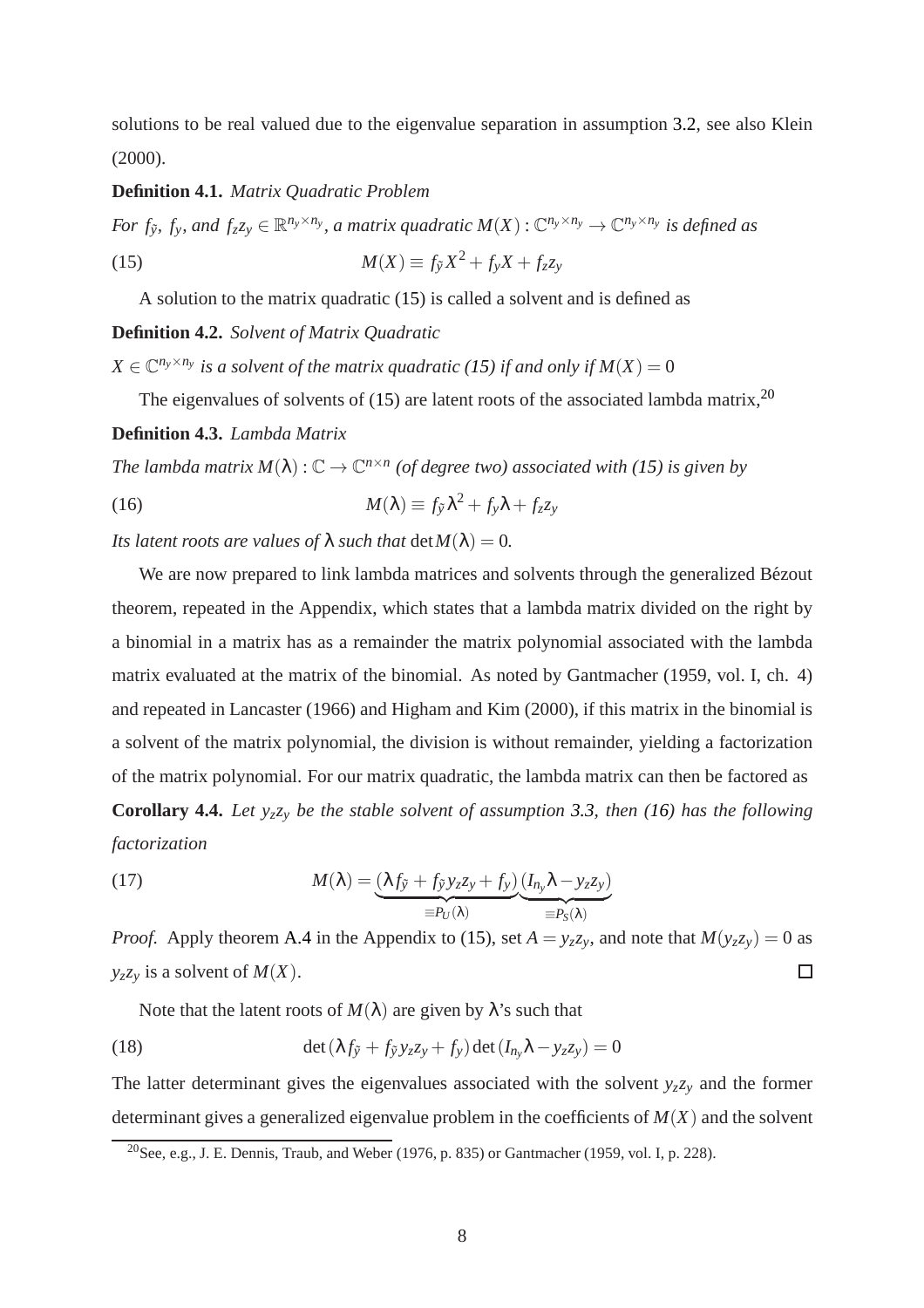solutions to be real valued due to the eigenvalue separation in assumption [3.2,](#page-7-5) see also Klein (2000).

#### **Definition 4.1.** *Matrix Quadratic Problem*

<span id="page-9-0"></span>For  $f_{\tilde{y}}$ ,  $f_y$ , and  $f_zz_y \in \mathbb{R}^{n_y \times n_y}$ , a matrix quadratic  $M(X): \mathbb{C}^{n_y \times n_y} \to \mathbb{C}^{n_y \times n_y}$  is defined as (15)  $M(X) \equiv f_{\tilde{y}} X^2 + f_{y} X + f_{z} z_{y}$ 

A solution to the matrix quadratic [\(15\)](#page-9-0) is called a solvent and is defined as

**Definition 4.2.** *Solvent of Matrix Quadratic*

 $X \in \mathbb{C}^{n_y \times n_y}$  is a solvent of the matrix quadratic [\(15\)](#page-9-0) if and only if  $M(X) = 0$ 

The eigenvalues of solvents of [\(15\)](#page-9-0) are latent roots of the associated lambda matrix,  $2<sup>0</sup>$ **Definition 4.3.** *Lambda Matrix*

*The lambda matrix*  $M(\lambda)$  :  $\mathbb{C} \to \mathbb{C}^{n \times n}$  (of degree two) associated with [\(15\)](#page-9-0) is given by

<span id="page-9-2"></span>(16) 
$$
M(\lambda) \equiv f_{\tilde{y}} \lambda^2 + f_y \lambda + f_z z_y
$$

*Its latent roots are values of*  $\lambda$  *such that*  $\det M(\lambda) = 0$ *.* 

We are now prepared to link lambda matrices and solvents through the generalized Bézout theorem, repeated in the Appendix, which states that a lambda matrix divided on the right by a binomial in a matrix has as a remainder the matrix polynomial associated with the lambda matrix evaluated at the matrix of the binomial. As noted by Gantmacher (1959, vol. I, ch. 4) and repeated in Lancaster (1966) and Higham and Kim (2000), if this matrix in the binomial is a solvent of the matrix polynomial, the division is without remainder, yielding a factorization of the matrix polynomial. For our matrix quadratic, the lambda matrix can then be factored as **Corollary 4.4.** *Let yzz<sup>y</sup> be the stable solvent of assumption [3.3,](#page-8-1) then [\(16\)](#page-9-2) has the following factorization*

<span id="page-9-3"></span>(17) 
$$
M(\lambda) = \underbrace{(\lambda f_{\tilde{y}} + f_{\tilde{y}} y_z z_y + f_y)}_{\equiv P_U(\lambda)} \underbrace{(I_{n_y} \lambda - y_z z_y)}_{\equiv P_S(\lambda)}
$$

*Proof.* Apply theorem [A.4](#page-18-0) in the Appendix to [\(15\)](#page-9-0), set  $A = y_z z_y$ , and note that  $M(y_z z_y) = 0$  as  $y_zz_y$  is a solvent of *M*(*X*). □

Note that the latent roots of  $M(\lambda)$  are given by  $\lambda$ 's such that

(18) 
$$
\det(\lambda f_{\tilde{y}} + f_{\tilde{y}}y_zz_y + f_y)\det(I_{n_y}\lambda - y_zz_y) = 0
$$

The latter determinant gives the eigenvalues associated with the solvent  $y_zz_y$  and the former determinant gives a generalized eigenvalue problem in the coefficients of *M*(*X*) and the solvent

<span id="page-9-1"></span><sup>&</sup>lt;sup>20</sup>See, e.g., J. E. Dennis, Traub, and Weber (1976, p. 835) or Gantmacher (1959, vol. I, p. 228).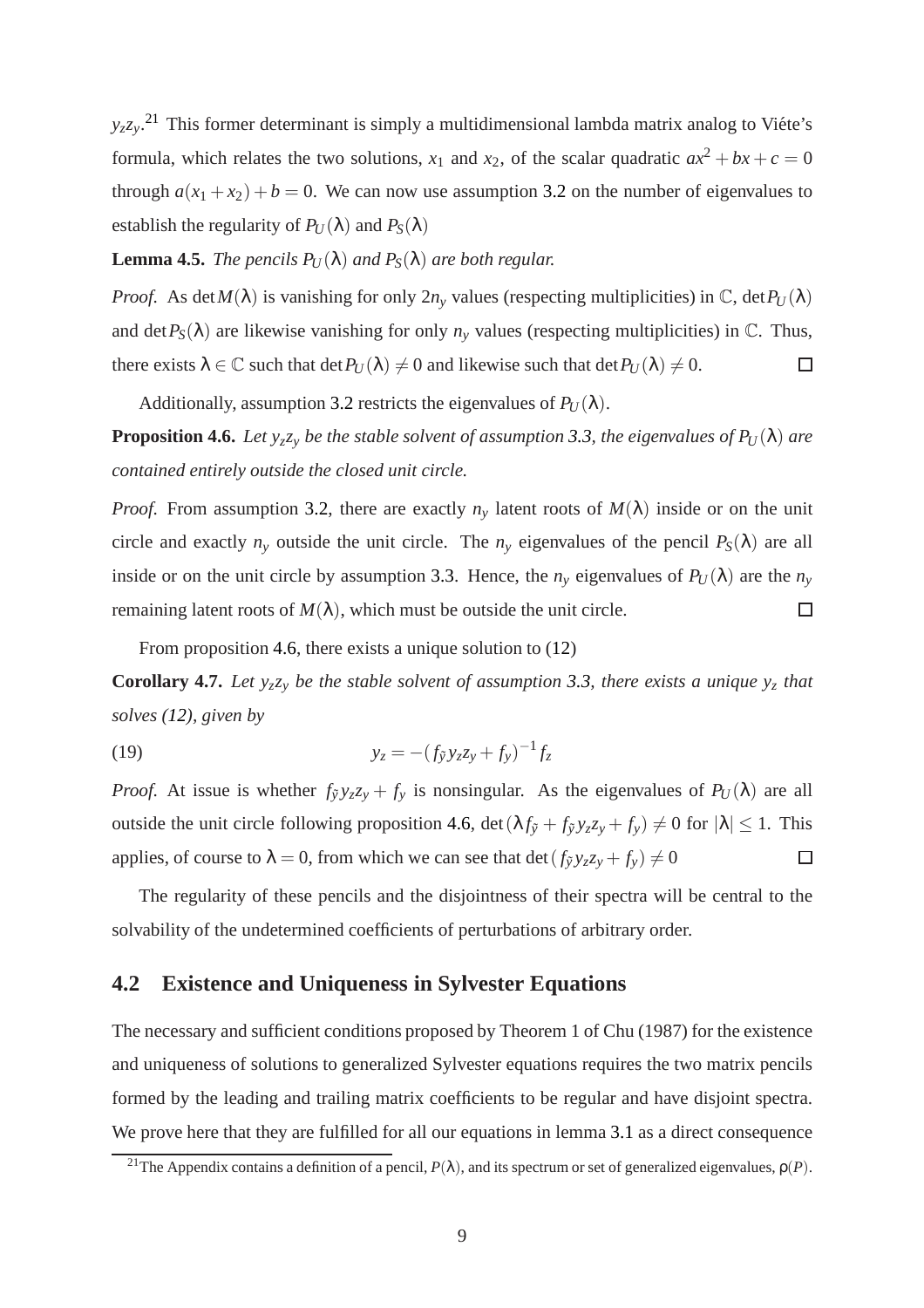$y_zz_y$ <sup>[21](#page-10-1)</sup> This former determinant is simply a multidimensional lambda matrix analog to Viéte's formula, which relates the two solutions,  $x_1$  and  $x_2$ , of the scalar quadratic  $ax^2 + bx + c = 0$ through  $a(x_1 + x_2) + b = 0$ . We can now use assumption [3.2](#page-7-5) on the number of eigenvalues to establish the regularity of  $P_U(\lambda)$  and  $P_S(\lambda)$ 

#### <span id="page-10-2"></span>**Lemma 4.5.** *The pencils*  $P_U(\lambda)$  *and*  $P_S(\lambda)$  *are both regular.*

*Proof.* As det $M(\lambda)$  is vanishing for only  $2n<sub>y</sub>$  values (respecting multiplicities) in  $\mathbb{C}$ , det $P_U(\lambda)$ and det  $P_S(\lambda)$  are likewise vanishing for only  $n_v$  values (respecting multiplicities) in  $\mathbb{C}$ . Thus, there exists  $\lambda \in \mathbb{C}$  such that det  $P_U(\lambda) \neq 0$  and likewise such that det  $P_U(\lambda) \neq 0$ .  $\Box$ 

<span id="page-10-0"></span>Additionally, assumption [3.2](#page-7-5) restricts the eigenvalues of  $P_U(\lambda)$ .

**Proposition 4.6.** *Let*  $y_zz_y$  *be the stable solvent of assumption* [3.3,](#page-8-1) *the eigenvalues of P<sub>U</sub>*( $\lambda$ ) *are contained entirely outside the closed unit circle.*

*Proof.* From assumption [3.2,](#page-7-5) there are exactly  $n<sub>v</sub>$  latent roots of  $M(\lambda)$  inside or on the unit circle and exactly  $n_y$  outside the unit circle. The  $n_y$  eigenvalues of the pencil  $P_S(\lambda)$  are all inside or on the unit circle by assumption [3.3.](#page-8-1) Hence, the  $n<sub>y</sub>$  eigenvalues of  $P<sub>U</sub>(\lambda)$  are the  $n<sub>y</sub>$ remaining latent roots of  $M(\lambda)$ , which must be outside the unit circle.  $\Box$ 

<span id="page-10-3"></span>From proposition [4.6,](#page-10-0) there exists a unique solution to [\(12\)](#page-6-3)

**Corollary 4.7.** Let  $y_zz_y$  be the stable solvent of assumption [3.3,](#page-8-1) there exists a unique  $y_z$  that *solves [\(12\)](#page-6-3), given by*

(19) 
$$
y_z = -(f_{\tilde{y}}y_zz_y + f_y)^{-1}f_z
$$

*Proof.* At issue is whether  $f_{\tilde{y}}y_{z}z_{y} + f_{y}$  is nonsingular. As the eigenvalues of  $P_{U}(\lambda)$  are all outside the unit circle following proposition [4.6,](#page-10-0) det  $(\lambda f_{\tilde{y}} + f_{\tilde{y}}y_zz_y + f_y) \neq 0$  for  $|\lambda| \leq 1$ . This applies, of course to  $\lambda = 0$ , from which we can see that det  $(f_{\tilde{y}}y_{z}z_{y} + f_{y}) \neq 0$  $\Box$ 

The regularity of these pencils and the disjointness of their spectra will be central to the solvability of the undetermined coefficients of perturbations of arbitrary order.

#### **4.2 Existence and Uniqueness in Sylvester Equations**

The necessary and sufficient conditions proposed by Theorem 1 of Chu (1987) for the existence and uniqueness of solutions to generalized Sylvester equations requires the two matrix pencils formed by the leading and trailing matrix coefficients to be regular and have disjoint spectra. We prove here that they are fulfilled for all our equations in lemma [3.1](#page-7-4) as a direct consequence

<span id="page-10-1"></span><sup>&</sup>lt;sup>21</sup>The Appendix contains a definition of a pencil,  $P(\lambda)$ , and its spectrum or set of generalized eigenvalues,  $\rho(P)$ .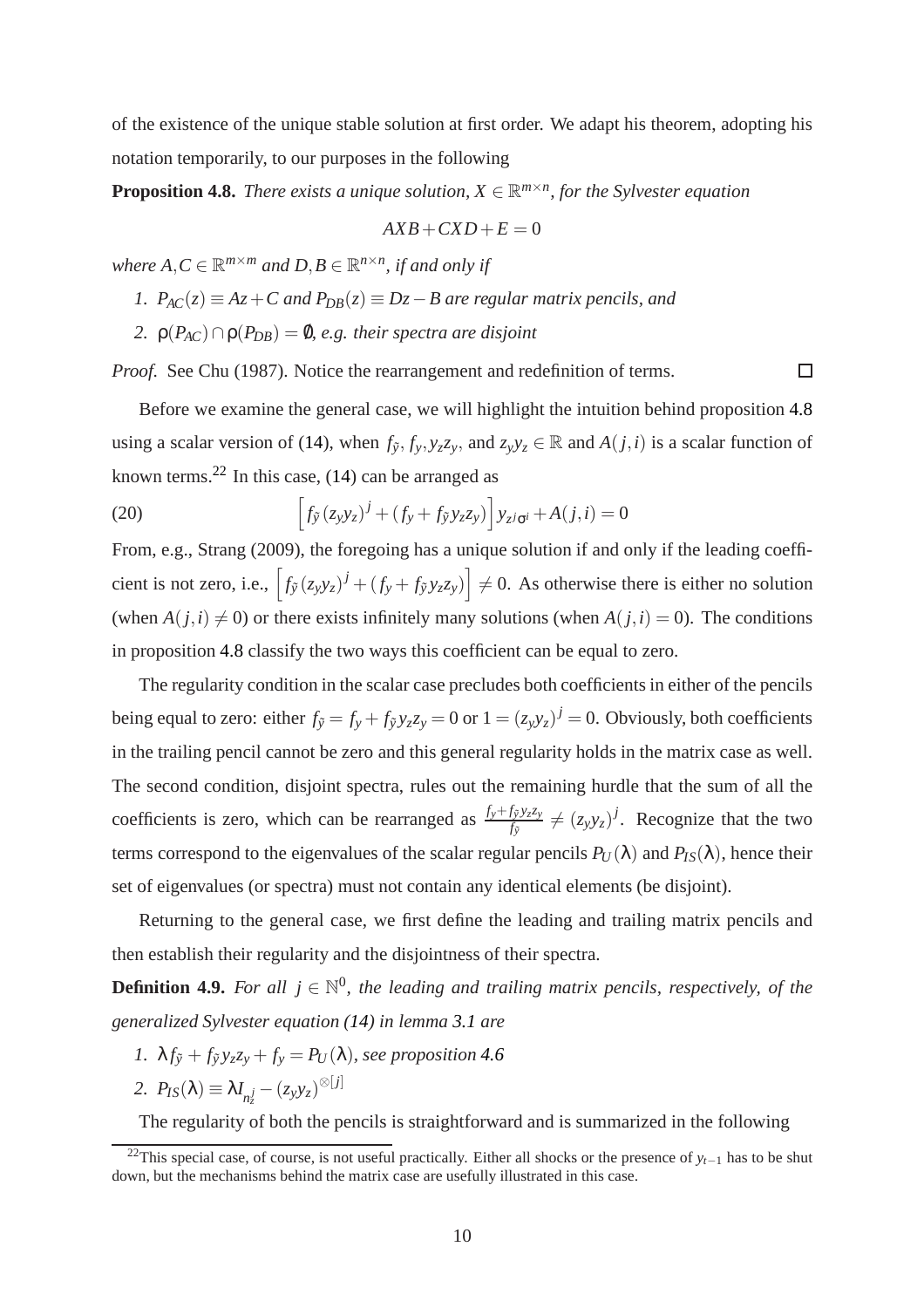<span id="page-11-1"></span>of the existence of the unique stable solution at first order. We adapt his theorem, adopting his notation temporarily, to our purposes in the following

**Proposition 4.8.** *There exists a unique solution,*  $X \in \mathbb{R}^{m \times n}$ *, for the Sylvester equation* 

$$
AXB+CXD+E=0
$$

where  $A, C \in \mathbb{R}^{m \times m}$  and  $D, B \in \mathbb{R}^{n \times n}$ , if and only if

- *1.*  $P_{AC}(z) \equiv Az + C$  and  $P_{DB}(z) \equiv Dz B$  are regular matrix pencils, and
- *2.*  $\rho(P_{AC}) \cap \rho(P_{DB}) = \emptyset$ , *e.g. their spectra are disjoint*

*Proof.* See Chu (1987). Notice the rearrangement and redefinition of terms.

 $\Box$ 

Before we examine the general case, we will highlight the intuition behind proposition [4.8](#page-11-1) using a scalar version of [\(14\)](#page-7-3), when  $f_{\tilde{y}}$ ,  $f_y$ ,  $y_zz_y$ , and  $z_yy_z \in \mathbb{R}$  and  $A(j,i)$  is a scalar function of known terms.<sup>[22](#page-11-2)</sup> In this case,  $(14)$  can be arranged as

(20) 
$$
\[f_{\tilde{y}}(z_{y}y_{z})^{j} + (f_{y} + f_{\tilde{y}}y_{z}z_{y})\]y_{z^{j}\sigma^{i}} + A(j,i) = 0
$$

From, e.g., Strang (2009), the foregoing has a unique solution if and only if the leading coefficient is not zero, i.e.,  $\left[ f_{\tilde{y}}(z_y y_z)^j + (f_y + f_{\tilde{y}} y_z z_y) \right] \neq 0$ . As otherwise there is either no solution (when  $A(j,i) \neq 0$ ) or there exists infinitely many solutions (when  $A(j,i) = 0$ ). The conditions in proposition [4.8](#page-11-1) classify the two ways this coefficient can be equal to zero.

The regularity condition in the scalar case precludes both coefficients in either of the pencils being equal to zero: either  $f_{\tilde{y}} = f_y + f_{\tilde{y}}y_zz_y = 0$  or  $1 = (z_yy_z)^j = 0$ . Obviously, both coefficients in the trailing pencil cannot be zero and this general regularity holds in the matrix case as well. The second condition, disjoint spectra, rules out the remaining hurdle that the sum of all the coefficients is zero, which can be rearranged as  $\frac{f_y+f_{\tilde{y}}y_zz_y}{f_{\tilde{y}}} \neq (z_yy_z)^j$ . Recognize that the two terms correspond to the eigenvalues of the scalar regular pencils  $P_U(\lambda)$  and  $P_{IS}(\lambda)$ , hence their set of eigenvalues (or spectra) must not contain any identical elements (be disjoint).

<span id="page-11-3"></span>Returning to the general case, we first define the leading and trailing matrix pencils and then establish their regularity and the disjointness of their spectra.

**Definition 4.9.** For all  $j \in \mathbb{N}^0$ , the leading and trailing matrix pencils, respectively, of the *generalized Sylvester equation [\(14\)](#page-7-3) in lemma [3.1](#page-7-4) are*

*1.*  $\lambda f_{\tilde{y}} + f_{\tilde{y}} y_z z_y + f_y = P_U(\lambda)$ *, see proposition* [4.6](#page-10-0)

$$
2. \ \ P_{IS}(\lambda) \equiv \lambda I_{n_z^j} - (z_y y_z)^{\otimes [j]}
$$

<span id="page-11-0"></span>The regularity of both the pencils is straightforward and is summarized in the following

<span id="page-11-2"></span><sup>&</sup>lt;sup>22</sup>This special case, of course, is not useful practically. Either all shocks or the presence of  $y_{t-1}$  has to be shut down, but the mechanisms behind the matrix case are usefully illustrated in this case.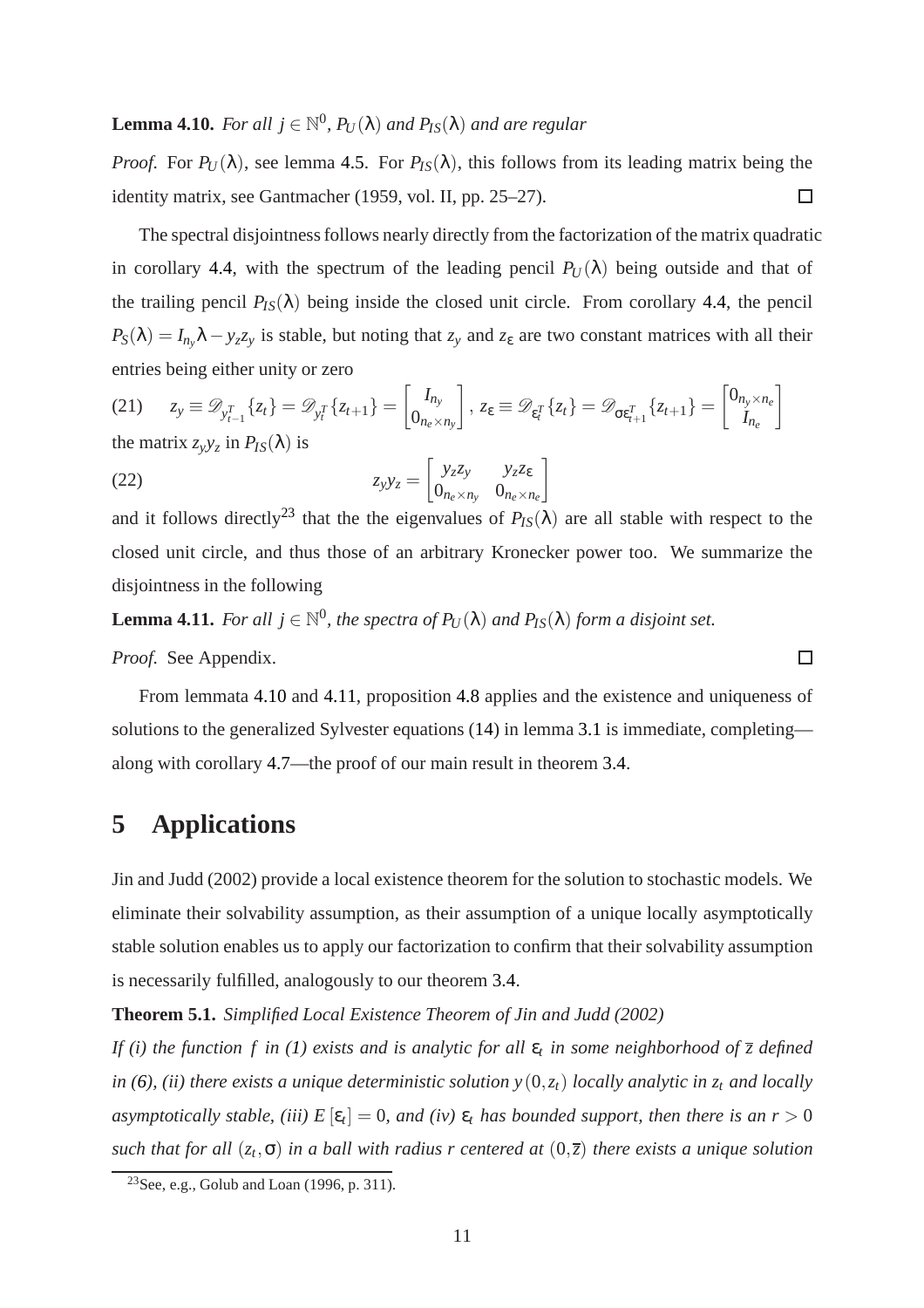## **Lemma 4.10.** For all  $j \in \mathbb{N}^0$ ,  $P_U(\lambda)$  and  $P_{IS}(\lambda)$  and are regular

*Proof.* For  $P_U(\lambda)$ , see lemma [4.5.](#page-10-2) For  $P_{IS}(\lambda)$ , this follows from its leading matrix being the identity matrix, see Gantmacher (1959, vol. II, pp. 25–27).  $\Box$ 

The spectral disjointness follows nearly directly from the factorization of the matrix quadratic in corollary [4.4,](#page-9-3) with the spectrum of the leading pencil  $P_U(\lambda)$  being outside and that of the trailing pencil  $P_{IS}(\lambda)$  being inside the closed unit circle. From corollary [4.4,](#page-9-3) the pencil  $P_S(\lambda) = I_{n_y}\lambda - y_zz_y$  is stable, but noting that  $z_y$  and  $z_\varepsilon$  are two constant matrices with all their entries being either unity or zero

(21) 
$$
z_y \equiv \mathcal{D}_{y_{t-1}^T} \{z_t\} = \mathcal{D}_{y_t^T} \{z_{t+1}\} = \begin{bmatrix} I_{n_y} \\ 0_{n_e \times n_y} \end{bmatrix}, z_{\varepsilon} \equiv \mathcal{D}_{\varepsilon_t^T} \{z_t\} = \mathcal{D}_{\sigma \varepsilon_{t+1}^T} \{z_{t+1}\} = \begin{bmatrix} 0_{n_y \times n_e} \\ I_{n_e} \end{bmatrix}
$$
  
the matrix  $z_y y_z$  in  $P_{IS}(\lambda)$  is

<span id="page-12-3"></span>(22) 
$$
z_{y}y_{z} = \begin{bmatrix} y_{z}z_{y} & y_{z}z_{\varepsilon} \\ 0_{n_{e}\times n_{y}} & 0_{n_{e}\times n_{e}} \end{bmatrix}
$$

and it follows directly<sup>[23](#page-12-2)</sup> that the the eigenvalues of  $P_{IS}(\lambda)$  are all stable with respect to the closed unit circle, and thus those of an arbitrary Kronecker power too. We summarize the disjointness in the following

<span id="page-12-1"></span>**Lemma 4.11.** For all  $j \in \mathbb{N}^0$ , the spectra of  $P_U(\lambda)$  and  $P_{IS}(\lambda)$  form a disjoint set.

*Proof.* See Appendix.

From lemmata [4.10](#page-11-0) and [4.11,](#page-12-1) proposition [4.8](#page-11-1) applies and the existence and uniqueness of solutions to the generalized Sylvester equations [\(14\)](#page-7-3) in lemma [3.1](#page-7-4) is immediate, completing along with corollary [4.7—](#page-10-3)the proof of our main result in theorem [3.4.](#page-8-3)

 $\Box$ 

## <span id="page-12-0"></span>**5 Applications**

Jin and Judd (2002) provide a local existence theorem for the solution to stochastic models. We eliminate their solvability assumption, as their assumption of a unique locally asymptotically stable solution enables us to apply our factorization to confirm that their solvability assumption is necessarily fulfilled, analogously to our theorem [3.4.](#page-8-3)

<span id="page-12-4"></span>**Theorem 5.1.** *Simplified Local Existence Theorem of Jin and Judd (2002)*

*If (i) the function f in [\(1\)](#page-3-3) exists and is analytic for all* ε*<sup>t</sup> in some neighborhood of z defined in* [\(6\)](#page-5-5), (*ii*) there exists a unique deterministic solution  $y(0, z_t)$  locally analytic in  $z_t$  and locally *asymptotically stable, (iii)*  $E\left[\varepsilon_t\right] = 0$ , and (iv)  $\varepsilon_t$  has bounded support, then there is an  $r > 0$ *such that for all* (*z<sup>t</sup>* ,σ) *in a ball with radius r centered at* (0,*z*) *there exists a unique solution*

<span id="page-12-2"></span><sup>&</sup>lt;sup>23</sup>See, e.g., Golub and Loan  $(1996, p. 311)$ .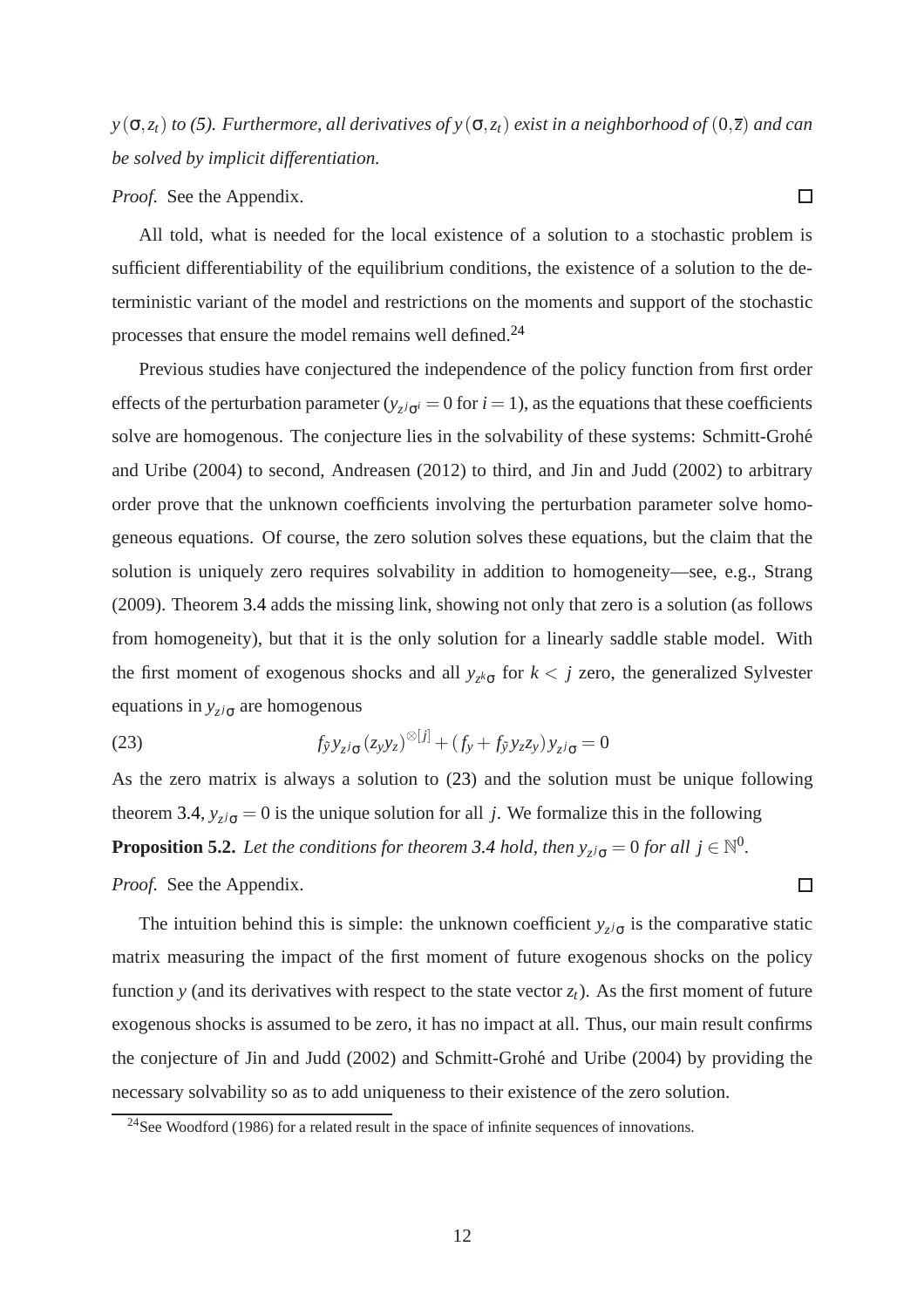$y(\sigma, z_t)$  *to* [\(5\)](#page-4-7)*. Furthermore, all derivatives of*  $y(\sigma, z_t)$  *exist in a neighborhood of*  $(0, \overline{z})$  *and can be solved by implicit differentiation.*

 $\Box$ 

 $\Box$ 

*Proof.* See the Appendix.

All told, what is needed for the local existence of a solution to a stochastic problem is sufficient differentiability of the equilibrium conditions, the existence of a solution to the deterministic variant of the model and restrictions on the moments and support of the stochastic processes that ensure the model remains well defined.[24](#page-13-0)

Previous studies have conjectured the independence of the policy function from first order effects of the perturbation parameter ( $y_{z}$ *i* $\sigma$ <sup>*i*</sup> = 0 for *i* = 1), as the equations that these coefficients solve are homogenous. The conjecture lies in the solvability of these systems: Schmitt-Grohé and Uribe (2004) to second, Andreasen (2012) to third, and Jin and Judd (2002) to arbitrary order prove that the unknown coefficients involving the perturbation parameter solve homogeneous equations. Of course, the zero solution solves these equations, but the claim that the solution is uniquely zero requires solvability in addition to homogeneity—see, e.g., Strang (2009). Theorem [3.4](#page-8-3) adds the missing link, showing not only that zero is a solution (as follows from homogeneity), but that it is the only solution for a linearly saddle stable model. With the first moment of exogenous shocks and all  $y_{z^k\sigma}$  for  $k < j$  zero, the generalized Sylvester equations in  $y_{zj\sigma}$  are homogenous

<span id="page-13-1"></span>(23) 
$$
f_{\tilde{y}}y_{z^j\sigma}(z_yy_z)^{\otimes [j]} + (f_y + f_{\tilde{y}}y_zz_y)y_{z^j\sigma} = 0
$$

<span id="page-13-2"></span>As the zero matrix is always a solution to [\(23\)](#page-13-1) and the solution must be unique following theorem [3.4,](#page-8-3)  $y_{z/\sigma} = 0$  is the unique solution for all *j*. We formalize this in the following **Proposition 5.2.** Let the conditions for theorem [3.4](#page-8-3) hold, then  $y_{z^j\sigma} = 0$  for all  $j \in \mathbb{N}^0$ .

*Proof.* See the Appendix.

The intuition behind this is simple: the unknown coefficient  $y_{z/\sigma}$  is the comparative static matrix measuring the impact of the first moment of future exogenous shocks on the policy function *y* (and its derivatives with respect to the state vector  $z_t$ ). As the first moment of future exogenous shocks is assumed to be zero, it has no impact at all. Thus, our main result confirms the conjecture of Jin and Judd (2002) and Schmitt-Grohé and Uribe (2004) by providing the necessary solvability so as to add uniqueness to their existence of the zero solution.

<span id="page-13-0"></span> $24$ See Woodford (1986) for a related result in the space of infinite sequences of innovations.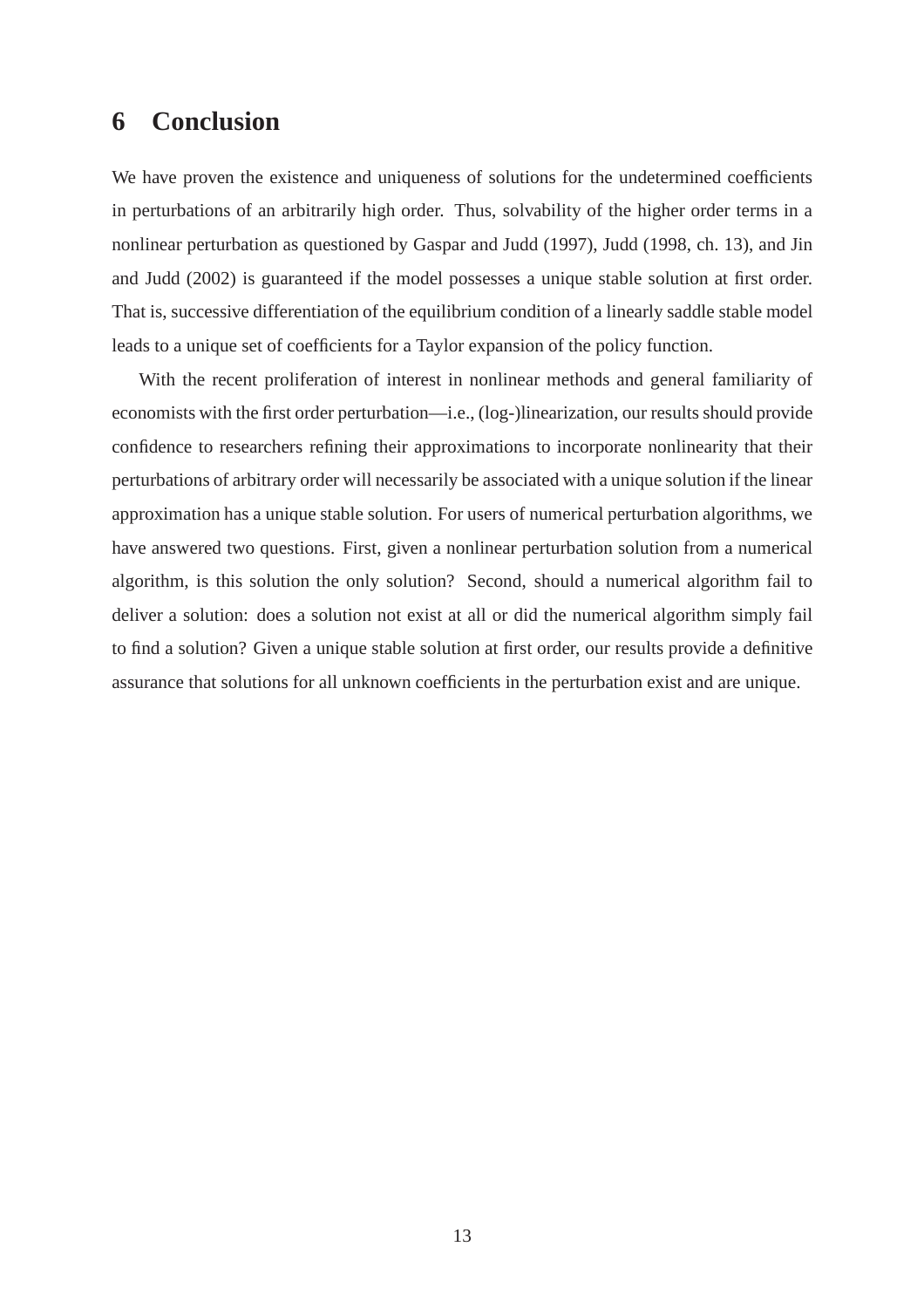## <span id="page-14-0"></span>**6 Conclusion**

We have proven the existence and uniqueness of solutions for the undetermined coefficients in perturbations of an arbitrarily high order. Thus, solvability of the higher order terms in a nonlinear perturbation as questioned by Gaspar and Judd (1997), Judd (1998, ch. 13), and Jin and Judd (2002) is guaranteed if the model possesses a unique stable solution at first order. That is, successive differentiation of the equilibrium condition of a linearly saddle stable model leads to a unique set of coefficients for a Taylor expansion of the policy function.

With the recent proliferation of interest in nonlinear methods and general familiarity of economists with the first order perturbation—i.e., (log-)linearization, our results should provide confidence to researchers refining their approximations to incorporate nonlinearity that their perturbations of arbitrary order will necessarily be associated with a unique solution if the linear approximation has a unique stable solution. For users of numerical perturbation algorithms, we have answered two questions. First, given a nonlinear perturbation solution from a numerical algorithm, is this solution the only solution? Second, should a numerical algorithm fail to deliver a solution: does a solution not exist at all or did the numerical algorithm simply fail to find a solution? Given a unique stable solution at first order, our results provide a definitive assurance that solutions for all unknown coefficients in the perturbation exist and are unique.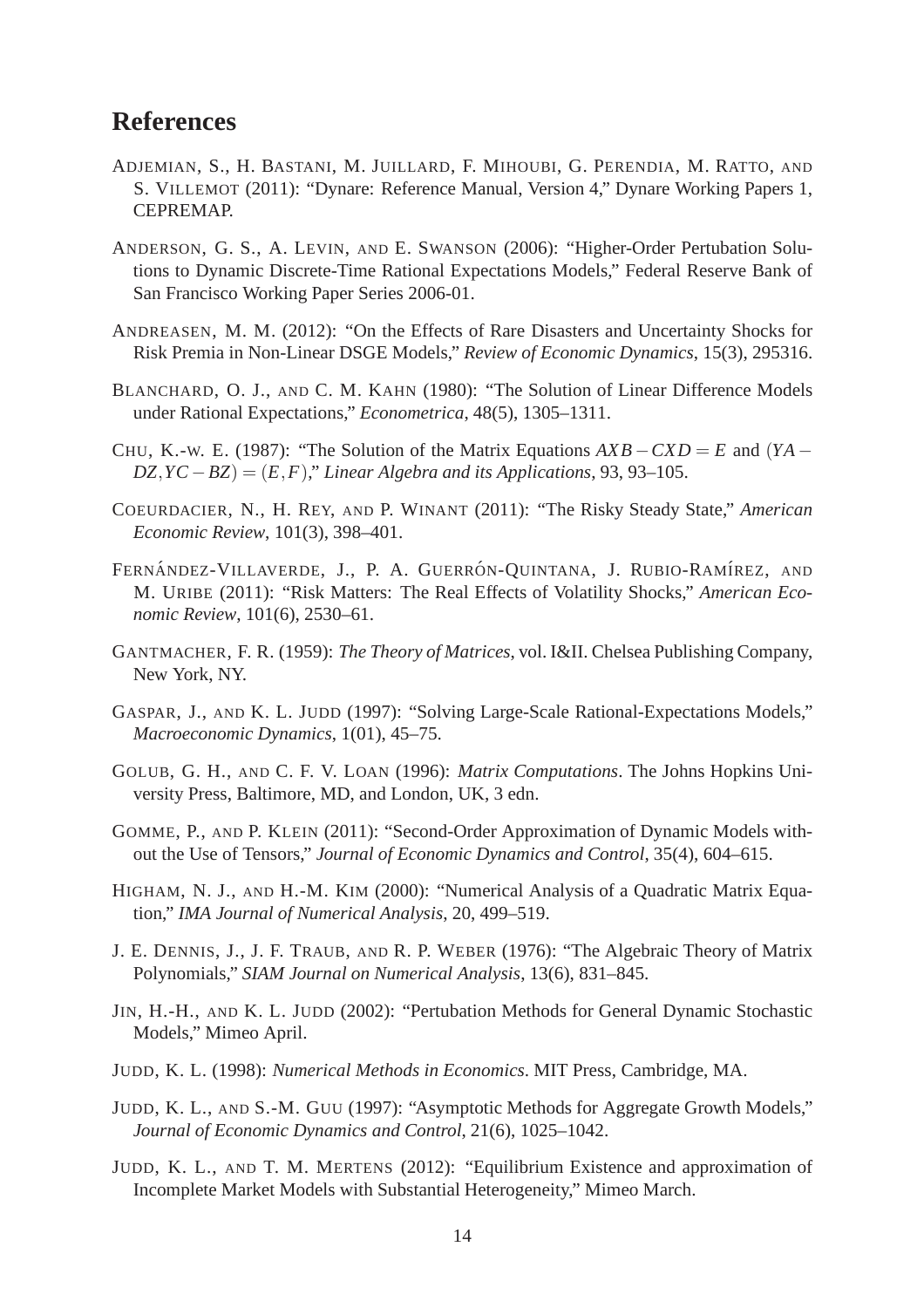## **References**

- ADJEMIAN, S., H. BASTANI, M. JUILLARD, F. MIHOUBI, G. PERENDIA, M. RATTO, AND S. VILLEMOT (2011): "Dynare: Reference Manual, Version 4," Dynare Working Papers 1, CEPREMAP.
- ANDERSON, G. S., A. LEVIN, AND E. SWANSON (2006): "Higher-Order Pertubation Solutions to Dynamic Discrete-Time Rational Expectations Models," Federal Reserve Bank of San Francisco Working Paper Series 2006-01.
- ANDREASEN, M. M. (2012): "On the Effects of Rare Disasters and Uncertainty Shocks for Risk Premia in Non-Linear DSGE Models," *Review of Economic Dynamics*, 15(3), 295316.
- BLANCHARD, O. J., AND C. M. KAHN (1980): "The Solution of Linear Difference Models under Rational Expectations," *Econometrica*, 48(5), 1305–1311.
- CHU, K.-W. E. (1987): "The Solution of the Matrix Equations  $AXB CXD = E$  and  $YA DZ, YC - BZ$  =  $(E, F)$ ," *Linear Algebra and its Applications*, 93, 93–105.
- COEURDACIER, N., H. REY, AND P. WINANT (2011): "The Risky Steady State," *American Economic Review*, 101(3), 398–401.
- FERNÁNDEZ-VILLAVERDE, J., P. A. GUERRÓN-OUINTANA, J. RUBIO-RAMÍREZ, AND M. URIBE (2011): "Risk Matters: The Real Effects of Volatility Shocks," *American Economic Review*, 101(6), 2530–61.
- GANTMACHER, F. R. (1959): *The Theory of Matrices*, vol. I&II. Chelsea Publishing Company, New York, NY.
- GASPAR, J., AND K. L. JUDD (1997): "Solving Large-Scale Rational-Expectations Models," *Macroeconomic Dynamics*, 1(01), 45–75.
- GOLUB, G. H., AND C. F. V. LOAN (1996): *Matrix Computations*. The Johns Hopkins University Press, Baltimore, MD, and London, UK, 3 edn.
- GOMME, P., AND P. KLEIN (2011): "Second-Order Approximation of Dynamic Models without the Use of Tensors," *Journal of Economic Dynamics and Control*, 35(4), 604–615.
- HIGHAM, N. J., AND H.-M. KIM (2000): "Numerical Analysis of a Quadratic Matrix Equation," *IMA Journal of Numerical Analysis*, 20, 499–519.
- J. E. DENNIS, J., J. F. TRAUB, AND R. P. WEBER (1976): "The Algebraic Theory of Matrix Polynomials," *SIAM Journal on Numerical Analysis*, 13(6), 831–845.
- JIN, H.-H., AND K. L. JUDD (2002): "Pertubation Methods for General Dynamic Stochastic Models," Mimeo April.
- JUDD, K. L. (1998): *Numerical Methods in Economics*. MIT Press, Cambridge, MA.
- JUDD, K. L., AND S.-M. GUU (1997): "Asymptotic Methods for Aggregate Growth Models," *Journal of Economic Dynamics and Control*, 21(6), 1025–1042.
- JUDD, K. L., AND T. M. MERTENS (2012): "Equilibrium Existence and approximation of Incomplete Market Models with Substantial Heterogeneity," Mimeo March.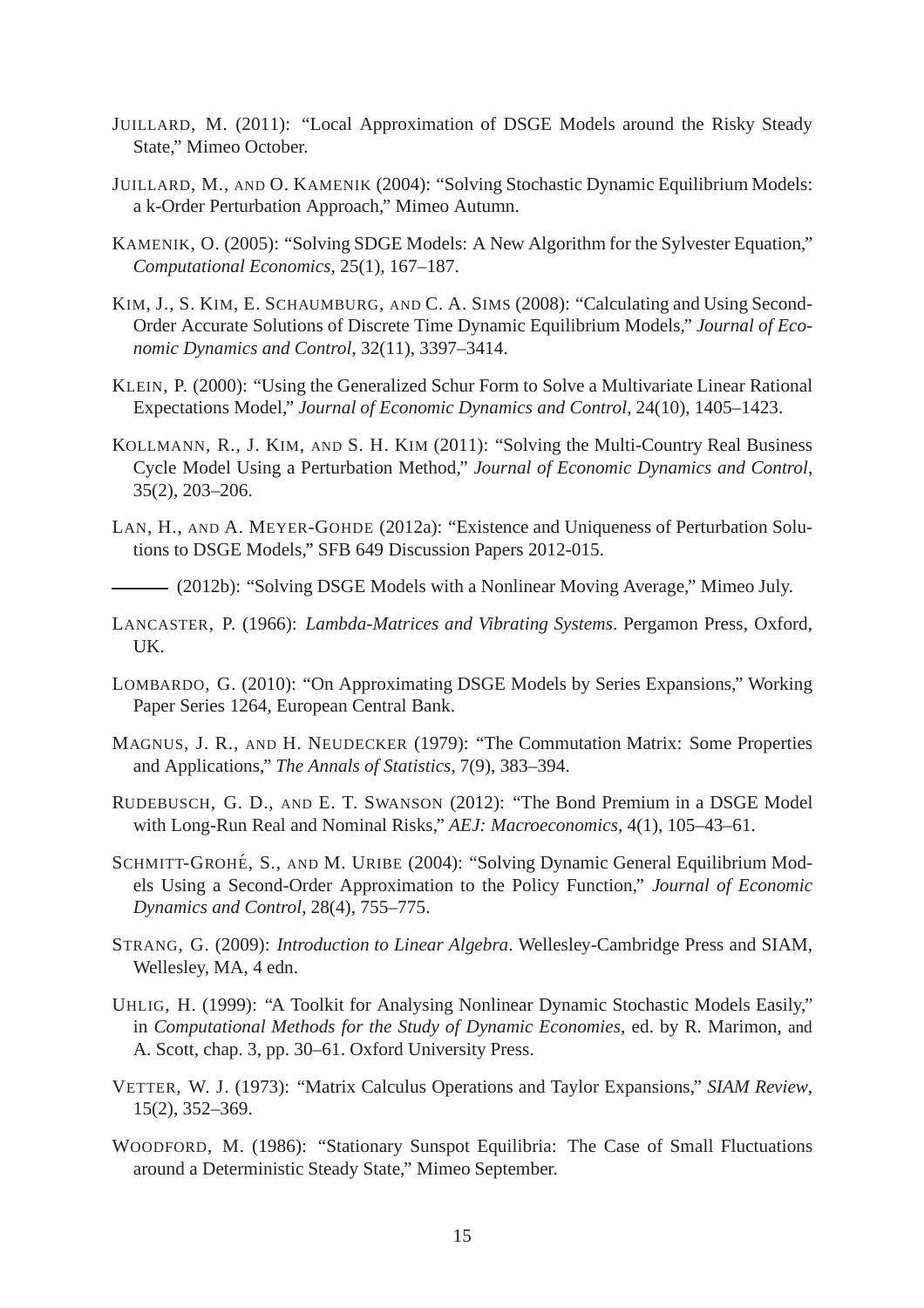- JUILLARD, M. (2011): "Local Approximation of DSGE Models around the Risky Steady State," Mimeo October.
- JUILLARD, M., AND O. KAMENIK (2004): "Solving Stochastic Dynamic Equilibrium Models: a k-Order Perturbation Approach," Mimeo Autumn.
- KAMENIK, O. (2005): "Solving SDGE Models: A New Algorithm for the Sylvester Equation," *Computational Economics*, 25(1), 167–187.
- KIM, J., S. KIM, E. SCHAUMBURG, AND C. A. SIMS (2008): "Calculating and Using Second-Order Accurate Solutions of Discrete Time Dynamic Equilibrium Models," *Journal of Economic Dynamics and Control*, 32(11), 3397–3414.
- KLEIN, P. (2000): "Using the Generalized Schur Form to Solve a Multivariate Linear Rational Expectations Model," *Journal of Economic Dynamics and Control*, 24(10), 1405–1423.
- KOLLMANN, R., J. KIM, AND S. H. KIM (2011): "Solving the Multi-Country Real Business Cycle Model Using a Perturbation Method," *Journal of Economic Dynamics and Control*, 35(2), 203–206.
- LAN, H., AND A. MEYER-GOHDE (2012a): "Existence and Uniqueness of Perturbation Solutions to DSGE Models," SFB 649 Discussion Papers 2012-015.

(2012b): "Solving DSGE Models with a Nonlinear Moving Average," Mimeo July.

- LANCASTER, P. (1966): *Lambda-Matrices and Vibrating Systems*. Pergamon Press, Oxford, UK.
- LOMBARDO, G. (2010): "On Approximating DSGE Models by Series Expansions," Working Paper Series 1264, European Central Bank.
- MAGNUS, J. R., AND H. NEUDECKER (1979): "The Commutation Matrix: Some Properties and Applications," *The Annals of Statistics*, 7(9), 383–394.
- RUDEBUSCH, G. D., AND E. T. SWANSON (2012): "The Bond Premium in a DSGE Model with Long-Run Real and Nominal Risks," *AEJ: Macroeconomics*, 4(1), 105–43–61.
- SCHMITT-GROHÉ, S., AND M. URIBE (2004): "Solving Dynamic General Equilibrium Models Using a Second-Order Approximation to the Policy Function," *Journal of Economic Dynamics and Control*, 28(4), 755–775.
- STRANG, G. (2009): *Introduction to Linear Algebra*. Wellesley-Cambridge Press and SIAM, Wellesley, MA, 4 edn.
- UHLIG, H. (1999): "A Toolkit for Analysing Nonlinear Dynamic Stochastic Models Easily," in *Computational Methods for the Study of Dynamic Economies*, ed. by R. Marimon, and A. Scott, chap. 3, pp. 30–61. Oxford University Press.
- VETTER, W. J. (1973): "Matrix Calculus Operations and Taylor Expansions," *SIAM Review*, 15(2), 352–369.
- WOODFORD, M. (1986): "Stationary Sunspot Equilibria: The Case of Small Fluctuations around a Deterministic Steady State," Mimeo September.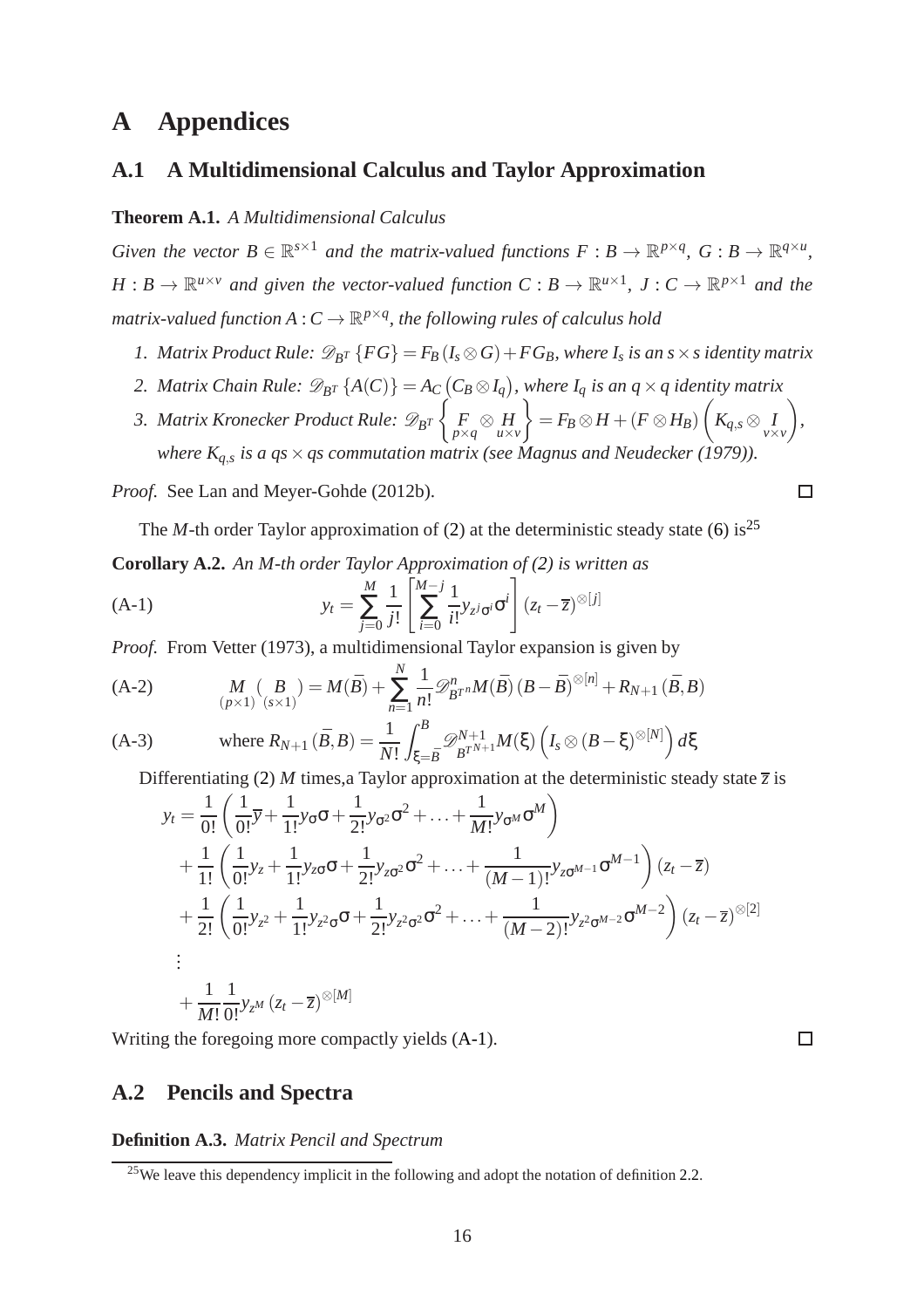## **A Appendices**

## **A.1 A Multidimensional Calculus and Taylor Approximation**

#### **Theorem A.1.** *A Multidimensional Calculus*

*Given the vector*  $B \in \mathbb{R}^{s \times 1}$  *and the matrix-valued functions*  $F : B \to \mathbb{R}^{p \times q}$ ,  $G : B \to \mathbb{R}^{q \times u}$ ,  $H: B \to \mathbb{R}^{u \times v}$  and given the vector-valued function  $C: B \to \mathbb{R}^{u \times 1}$ ,  $J: C \to \mathbb{R}^{p \times 1}$  and the matrix-valued function  $A: C \to \mathbb{R}^{p \times q}$ , the following rules of calculus hold

- *1. Matrix Product Rule:*  $\mathscr{D}_{B}$ <sup>*T*</sup> { $FG$ } =  $F_B$  ( $I_s \otimes G$ ) +  $FG_B$ *, where*  $I_s$  *is an s*  $\times$  *s identity matrix*
- 2. Matrix Chain Rule:  $\mathscr{D}_{B^T}\left\{A(C)\right\} = A_C\left(C_B \otimes I_q\right)$ , where  $I_q$  is an  $q \times q$  identity matrix
- *3. Matrix Kronecker Product Rule:*  $\mathscr{D}_{B^T}\left\{ \right\}$  $\frac{F}{p\times q}$   $\otimes$  *H*<sub>*u* $\times$ *v*</sub>  $\mathcal{L}$  $=F_B\otimes H + (F\otimes H_B)$  $\sqrt{ }$  $K_{q,s} \otimes I \atop v \times v}$  $\setminus$ *, where Kq*,*<sup>s</sup> is a qs*×*qs commutation matrix (see Magnus and Neudecker (1979)).*

*Proof.* See Lan and Meyer-Gohde (2012b).

<span id="page-17-2"></span>The *M*-th order Taylor approximation of [\(2\)](#page-4-4) at the deterministic steady state [\(6\)](#page-5-5) is<sup>[25](#page-17-0)</sup>

**Corollary A.2.** *An M-th order Taylor Approximation of [\(2\)](#page-4-4) is written as*

<span id="page-17-1"></span>(A-1) 
$$
y_t = \sum_{j=0}^{M} \frac{1}{j!} \left[ \sum_{i=0}^{M-j} \frac{1}{i!} y_{z^j \sigma^i} \sigma^i \right] (z_t - \overline{z})^{\otimes [j]}
$$

*Proof.* From Vetter (1973), a multidimensional Taylor expansion is given by

(A-2) 
$$
M_{(p\times 1) (s\times 1)}(B) = M(\bar{B}) + \sum_{n=1}^{N} \frac{1}{n!} \mathcal{D}_{B^{T}}^{n} M(\bar{B}) (B - \bar{B})^{\otimes [n]} + R_{N+1} (\bar{B}, B)
$$

(A-3) where 
$$
R_{N+1}(\bar{B}, B) = \frac{1}{N!} \int_{\xi = \bar{B}}^{B} \mathcal{D}_{B^{T^{N+1}}}^{N+1} M(\xi) \left( I_s \otimes (B - \xi)^{\otimes [N]} \right) d\xi
$$

Differentiating [\(2\)](#page-4-4) *M* times, a Taylor approximation at the deterministic steady state  $\overline{z}$  is

$$
y_t = \frac{1}{0!} \left( \frac{1}{0!} \overline{y} + \frac{1}{1!} y_0 \sigma + \frac{1}{2!} y_0^2 \sigma^2 + \dots + \frac{1}{M!} y_0^M \sigma^M \right)
$$
  
+ 
$$
\frac{1}{1!} \left( \frac{1}{0!} y_z + \frac{1}{1!} y_{z\sigma} \sigma + \frac{1}{2!} y_{z\sigma^2} \sigma^2 + \dots + \frac{1}{(M-1)!} y_{z\sigma^{M-1}} \sigma^{M-1} \right) (z_t - \overline{z})
$$
  
+ 
$$
\frac{1}{2!} \left( \frac{1}{0!} y_{z^2} + \frac{1}{1!} y_{z^2 \sigma} \sigma + \frac{1}{2!} y_{z^2 \sigma^2} \sigma^2 + \dots + \frac{1}{(M-2)!} y_{z^2 \sigma^{M-2}} \sigma^{M-2} \right) (z_t - \overline{z})^{\otimes [2]}
$$
  
:  
+ 
$$
\frac{1}{M!} \frac{1}{0!} y_{z^M} (z_t - \overline{z})^{\otimes [M]}
$$

Writing the foregoing more compactly yields [\(A-1\)](#page-17-1).

## **A.2 Pencils and Spectra**

**Definition A.3.** *Matrix Pencil and Spectrum*

 $\Box$ 

 $\Box$ 

<span id="page-17-0"></span><sup>&</sup>lt;sup>25</sup>We leave this dependency implicit in the following and adopt the notation of definition [2.2.](#page-5-2)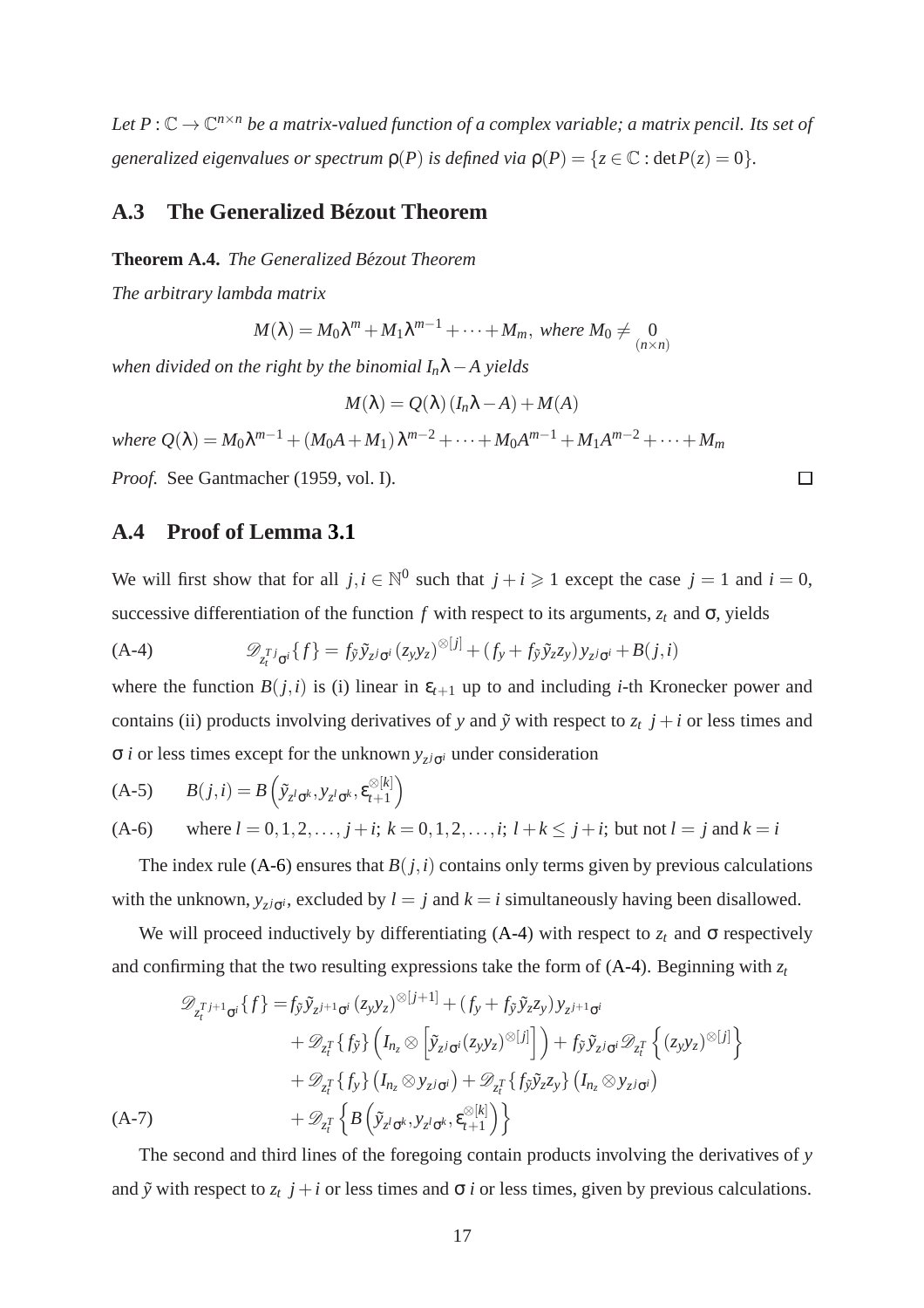Let  $P:\mathbb{C}\to\mathbb{C}^{n\times n}$  be a matrix-valued function of a complex variable; a matrix pencil. Its set of *generalized eigenvalues or spectrum*  $p(P)$  *is defined via*  $p(P) = \{z \in \mathbb{C} : \text{det} P(z) = 0\}.$ 

## <span id="page-18-0"></span>**A.3 The Generalized Bezout Theorem ´**

**Theorem A.4.** *The Generalized Bezout Theorem ´*

*The arbitrary lambda matrix*

$$
M(\lambda) = M_0 \lambda^m + M_1 \lambda^{m-1} + \dots + M_m, \text{ where } M_0 \neq \begin{array}{c} 0 \\ (n \times n) \end{array}
$$

*when divided on the right by the binomial In*λ−*A yields*

$$
M(\lambda) = Q(\lambda) (I_n \lambda - A) + M(A)
$$

 $w$ here  $Q(\lambda) = M_0 \lambda^{m-1} + (M_0 A + M_1) \lambda^{m-2} + \cdots + M_0 A^{m-1} + M_1 A^{m-2} + \cdots + M_m$ 

<span id="page-18-4"></span>*Proof.* See Gantmacher (1959, vol. I).

### **A.4 Proof of Lemma [3.1](#page-7-4)**

We will first show that for all  $j, i \in \mathbb{N}^0$  such that  $j + i \geq 1$  except the case  $j = 1$  and  $i = 0$ , successive differentiation of the function  $f$  with respect to its arguments,  $z_t$  and  $\sigma$ , yields

<span id="page-18-2"></span>
$$
(A-4) \qquad \qquad \mathscr{D}_{z_i^{Tj}\sigma^i}\{f\} = f_{\tilde{y}}\tilde{y}_{z^j\sigma^i}(z_yy_z)^{\otimes [j]} + (f_y + f_{\tilde{y}}\tilde{y}_zz_y)y_{z^j\sigma^i} + B(j,i)
$$

where the function  $B(j,i)$  is (i) linear in  $\varepsilon_{t+1}$  up to and including *i*-th Kronecker power and contains (ii) products involving derivatives of *y* and  $\tilde{y}$  with respect to  $z_t$   $j + i$  or less times and σ *i* or less times except for the unknown *y<sup>z</sup> <sup>j</sup>*σ*<sup>i</sup>* under consideration

<span id="page-18-1"></span>(A-5) 
$$
B(j,i) = B(\tilde{y}_{z^l\sigma^k}, y_{z^l\sigma^k}, \varepsilon_{t+1}^{\otimes [k]})
$$
  
(A-6) where  $l = 0, 1, 2, ..., j + i$ ;  $k = 0, 1, 2, ..., i$ ;  $l + k \le j + i$ ; but not  $l = j$  and  $k = i$ 

The index rule [\(A-6\)](#page-18-1) ensures that  $B(j, i)$  contains only terms given by previous calculations with the unknown,  $y_{z}$ *j*<sub> $\sigma$ </sub>*i*, excluded by *l* = *j* and *k* = *i* simultaneously having been disallowed.

We will proceed inductively by differentiating [\(A-4\)](#page-18-2) with respect to  $z_t$  and  $\sigma$  respectively and confirming that the two resulting expressions take the form of  $(A-4)$ . Beginning with  $z_t$ 

$$
\mathcal{D}_{z_t^{T}j+1_{\sigma^i}}\{f\} = f_{\tilde{y}}\tilde{y}_{z^{j+1}\sigma^i}(z_y y_z)^{\otimes [j+1]} + (f_y + f_{\tilde{y}}\tilde{y}_z z_y) y_{z^{j+1}\sigma^i} \n+ \mathcal{D}_{z_t^T}\{f_{\tilde{y}}\} \left(I_{n_z} \otimes \left[\tilde{y}_{z^j\sigma^i}(z_y y_z)^{\otimes [j]}\right] \right) + f_{\tilde{y}}\tilde{y}_{z^j\sigma^i}\mathcal{D}_{z_t^T}\left\{(z_y y_z)^{\otimes [j]}\right\} \n+ \mathcal{D}_{z_t^T}\{f_{y}\} \left(I_{n_z} \otimes y_{z^j\sigma^i}\right) + \mathcal{D}_{z_t^T}\left\{f_{\tilde{y}}\tilde{y}_z z_y\} \left(I_{n_z} \otimes y_{z^j\sigma^i}\right) \n+ \mathcal{D}_{z_t^T}\left\{B\left(\tilde{y}_{z^l\sigma^k}, y_{z^l\sigma^k}, \varepsilon_{t+1}^{\otimes [k]}\right)\right\}
$$

<span id="page-18-3"></span>The second and third lines of the foregoing contain products involving the derivatives of *y* and  $\tilde{y}$  with respect to  $z_t$   $j + i$  or less times and  $\sigma$  *i* or less times, given by previous calculations.

 $\Box$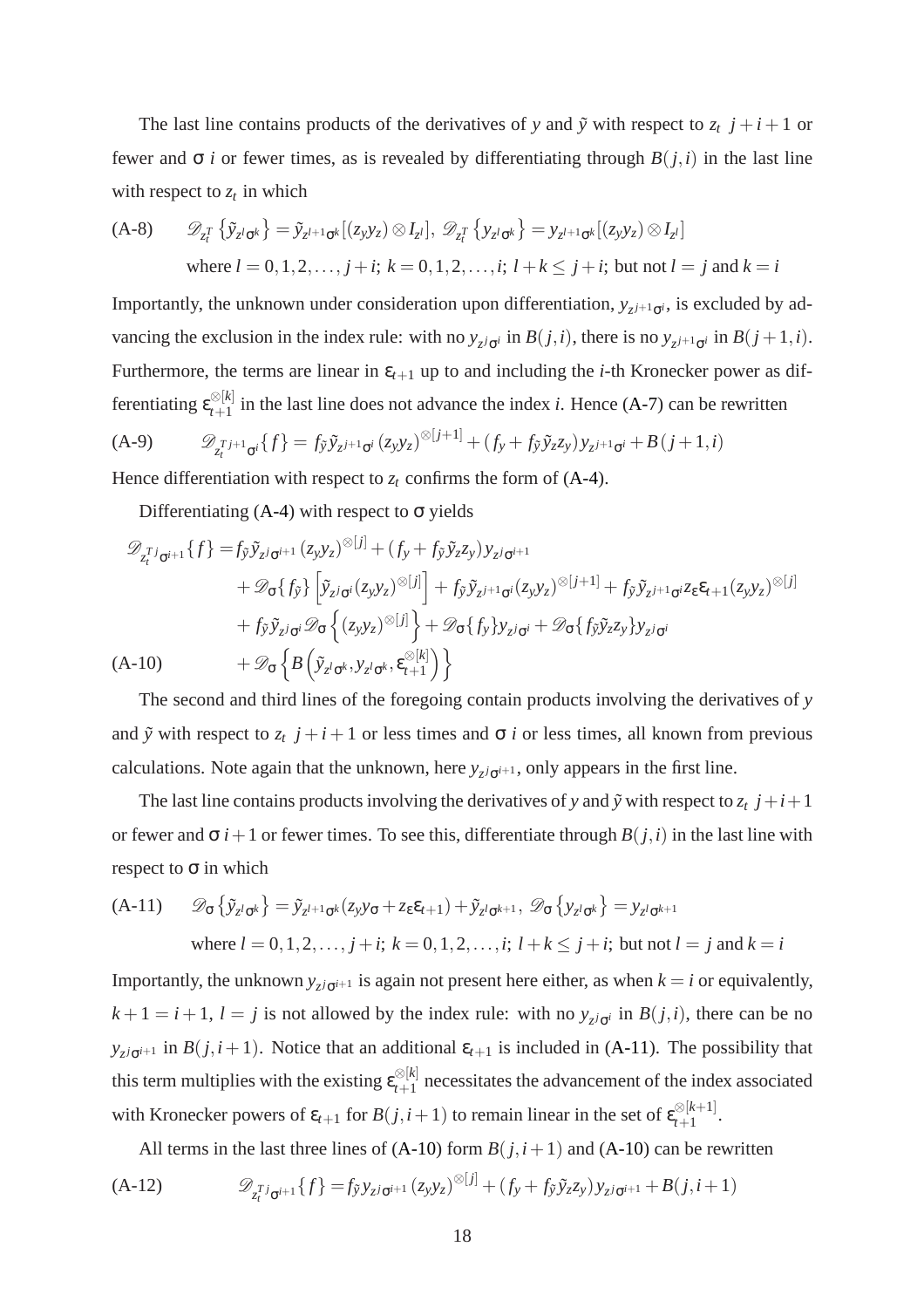The last line contains products of the derivatives of *y* and  $\tilde{y}$  with respect to  $z_t$   $j + i + 1$  or fewer and σ *i* or fewer times, as is revealed by differentiating through *B*(*j*,*i*) in the last line with respect to  $z_t$  in which

(A-8) 
$$
\mathcal{D}_{z_i^T} \{ \tilde{y}_{z^l \sigma^k} \} = \tilde{y}_{z^{l+1} \sigma^k} [(z_y y_z) \otimes I_{z^l}], \mathcal{D}_{z_i^T} \{ y_{z^l \sigma^k} \} = y_{z^{l+1} \sigma^k} [(z_y y_z) \otimes I_{z^l}]
$$
  
where  $l = 0, 1, 2, ..., j + i$ ;  $k = 0, 1, 2, ..., i$ ;  $l + k \leq j + i$ ; but not  $l = j$  and  $k = i$ 

Importantly, the unknown under consideration upon differentiation,  $y_{z^{j+1}\sigma^{i}}$ , is excluded by advancing the exclusion in the index rule: with no  $y_{z}$ *i*<sub> $\sigma$ </sub>*i* in  $B(j, i)$ , there is no  $y_{z}$ <sub>*i*+1<sub> $\sigma$ </sub>*i* in  $B(j + 1, i)$ .</sub> Furthermore, the terms are linear in  $\varepsilon_{t+1}$  up to and including the *i*-th Kronecker power as differentiating  $\epsilon_{t+1}^{\otimes [k]}$  $t+1$  in the last line does not advance the index *i*. Hence [\(A-7\)](#page-18-3) can be rewritten (A-9)  $\mathscr{D}_{z_i}^{T_{j+1}} \sigma_i \{f\} = f_{\tilde{y}} \tilde{y}_{z^{j+1}} \sigma_i (z_y y_z)^{\otimes [j+1]} + (f_y + f_{\tilde{y}} \tilde{y}_z z_y) y_{z^{j+1}} \sigma_i + B(j+1, i)$ 

Hence differentiation with respect to  $z_t$  confirms the form of  $(A-4)$ .

Differentiating  $(A-4)$  with respect to  $\sigma$  yields

$$
\mathcal{D}_{z_i^T j_{\sigma^{i+1}}} \{ f \} = f_{\tilde{y}} \tilde{y}_{z^j \sigma^{i+1}} (z_y y_z)^{\otimes [j]} + (f_y + f_{\tilde{y}} \tilde{y}_z z_y) y_{z^j \sigma^{i+1}} \n+ \mathcal{D}_{\sigma} \{ f_{\tilde{y}} \} \left[ \tilde{y}_{z^j \sigma^i} (z_y y_z)^{\otimes [j]} \right] + f_{\tilde{y}} \tilde{y}_{z^{j+1} \sigma^i} (z_y y_z)^{\otimes [j+1]} + f_{\tilde{y}} \tilde{y}_{z^{j+1} \sigma^i} z_{\epsilon} \epsilon_{t+1} (z_y y_z)^{\otimes [j]} \n+ f_{\tilde{y}} \tilde{y}_{z^j \sigma^i} \mathcal{D}_{\sigma} \left\{ (z_y y_z)^{\otimes [j]} \right\} + \mathcal{D}_{\sigma} \{ f_y \} y_{z^j \sigma^i} + \mathcal{D}_{\sigma} \{ f_{\tilde{y}} \tilde{y}_z z_y \} y_{z^j \sigma^i} \n(A-10) \qquad + \mathcal{D}_{\sigma} \left\{ B \left( \tilde{y}_{z^l \sigma^k}, y_{z^l \sigma^k}, \epsilon_{t+1}^{\otimes [k]} \right) \right\}
$$

<span id="page-19-1"></span>The second and third lines of the foregoing contain products involving the derivatives of *y* and  $\tilde{y}$  with respect to  $z_t$   $j + i + 1$  or less times and  $\sigma$  *i* or less times, all known from previous calculations. Note again that the unknown, here  $y_{z^j\sigma^{i+1}}$ , only appears in the first line.

The last line contains products involving the derivatives of *y* and  $\tilde{y}$  with respect to  $z_t$   $j+i+1$ or fewer and  $\sigma$  *i*+1 or fewer times. To see this, differentiate through *B*(*j*,*i*) in the last line with respect to  $\sigma$  in which

<span id="page-19-0"></span>(A-11) 
$$
\mathcal{D}_{\sigma}\left\{\tilde{y}_{z^l\sigma^k}\right\} = \tilde{y}_{z^{l+1}\sigma^k}(z_y y_{\sigma} + z_{\epsilon} \varepsilon_{t+1}) + \tilde{y}_{z^l\sigma^{k+1}}, \ \mathcal{D}_{\sigma}\left\{y_{z^l\sigma^k}\right\} = y_{z^l\sigma^{k+1}}
$$
  
where  $l = 0, 1, 2, ..., j + i$ ;  $k = 0, 1, 2, ..., i$ ;  $l + k \leq j + i$ ; but not  $l = j$  and  $k = i$ 

Importantly, the unknown  $y_{z}$ *j*<sub> $\sigma$ *i*+1</sub> is again not present here either, as when  $k = i$  or equivalently,  $k+1 = i+1$ ,  $l = j$  is not allowed by the index rule: with no  $y_{z^j\sigma^i}$  in  $B(j,i)$ , there can be no *y*<sub>z</sub> $j_{\sigma}$ <sup> $i+1$ </sup> in *B*(*j*,*i*+1). Notice that an additional  $\varepsilon$ <sub>*t*+1</sub> is included in [\(A-11\)](#page-19-0). The possibility that this term multiplies with the existing  $\varepsilon_{t+1}^{\otimes [k]}$  $t+1$  necessitates the advancement of the index associated with Kronecker powers of  $\varepsilon_{t+1}$  for  $B(j,i+1)$  to remain linear in the set of  $\varepsilon_{t+1}^{\otimes [k+1]}$  $\frac{1}{t+1}$ .

All terms in the last three lines of  $(A-10)$  form  $B(j,i+1)$  and  $(A-10)$  can be rewritten

(A-12) 
$$
\mathscr{D}_{z_i^T j_{\mathbf{G}^{i+1}}} \{ f \} = f_{\tilde{y}} y_{z^j \mathbf{G}^{i+1}} (z_y y_z)^{\otimes [j]} + (f_y + f_{\tilde{y}} \tilde{y}_z z_y) y_{z^j \mathbf{G}^{i+1}} + B(j, i+1)
$$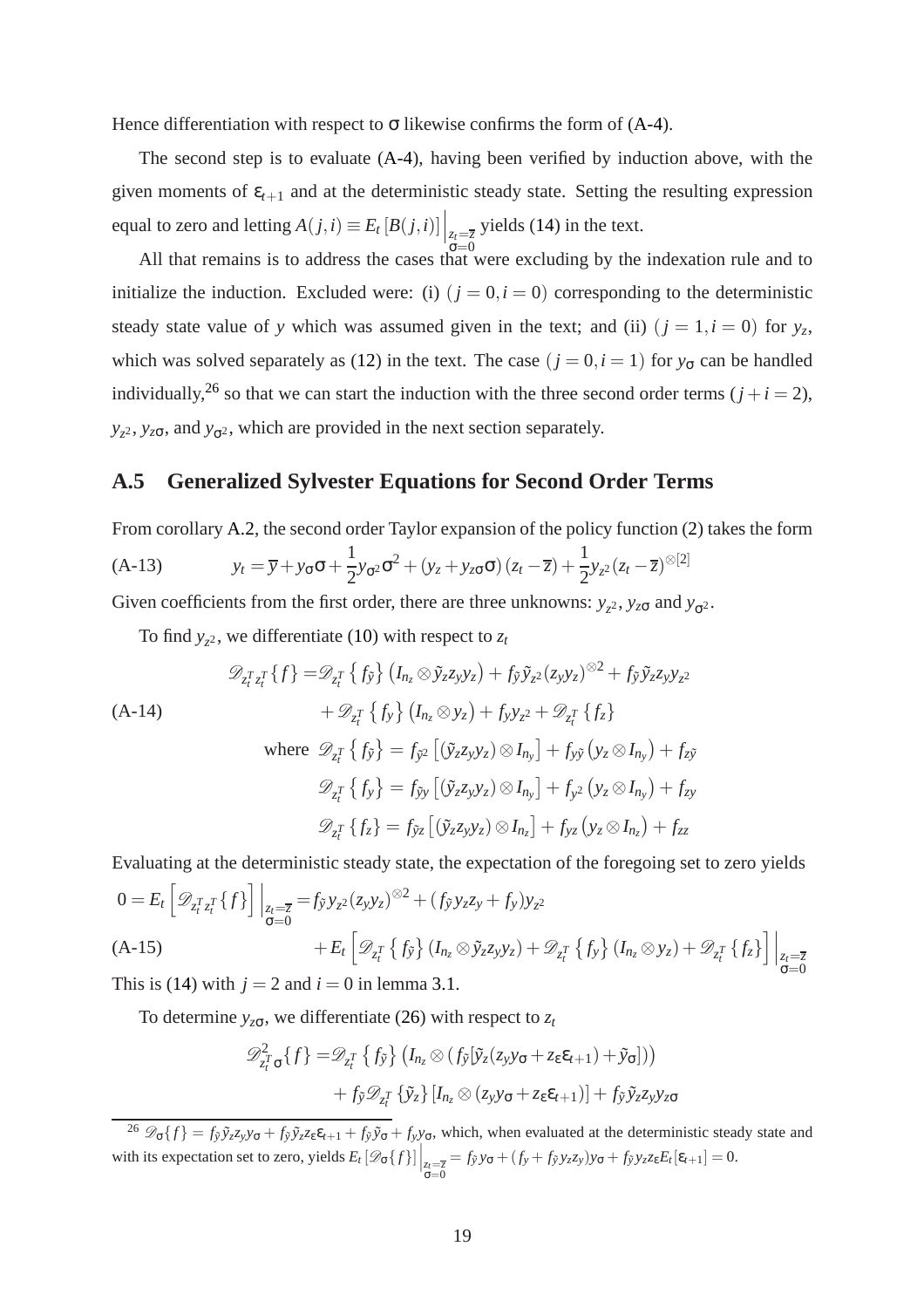Hence differentiation with respect to  $\sigma$  likewise confirms the form of [\(A-4\)](#page-18-2).

The second step is to evaluate [\(A-4\)](#page-18-2), having been verified by induction above, with the given moments of  $\varepsilon_{t+1}$  and at the deterministic steady state. Setting the resulting expression equal to zero and letting  $A(j,i) \equiv E_t [B(j,i)] \Big|_{z_t = \overline{z_t}}$ <br>  $\sigma = 0$ yields [\(14\)](#page-7-3) in the text.

All that remains is to address the cases that were excluding by the indexation rule and to initialize the induction. Excluded were: (i)  $(j = 0, i = 0)$  corresponding to the deterministic steady state value of *y* which was assumed given in the text; and (ii)  $(j = 1, i = 0)$  for  $y_z$ , which was solved separately as [\(12\)](#page-6-3) in the text. The case  $(j = 0, i = 1)$  for  $y_{\sigma}$  can be handled individually,<sup>[26](#page-20-0)</sup> so that we can start the induction with the three second order terms  $(j + i = 2)$ ,  $y_{z^2}$ ,  $y_{z\sigma}$ , and  $y_{\sigma^2}$ , which are provided in the next section separately.

#### **A.5 Generalized Sylvester Equations for Second Order Terms**

From corollary [A.2,](#page-17-2) the second order Taylor expansion of the policy function [\(2\)](#page-4-4) takes the form

$$
(A-13) \t y_t = \overline{y} + y_\sigma \sigma + \frac{1}{2} y_{\sigma^2} \sigma^2 + (y_z + y_{z\sigma} \sigma) (z_t - \overline{z}) + \frac{1}{2} y_{z^2} (z_t - \overline{z})^{\otimes [2]}
$$

Given coefficients from the first order, there are three unknowns:  $y_z^2$ ,  $y_{z\sigma}$  and  $y_{\sigma^2}$ .

To find  $y_{z^2}$ , we differentiate [\(10\)](#page-6-5) with respect to  $z_t$ 

$$
\mathcal{D}_{z_i^T z_i^T} \{ f \} = \mathcal{D}_{z_i^T} \{ f_{\tilde{y}} \} \left( I_{n_z} \otimes \tilde{y}_z z_y y_z \right) + f_{\tilde{y}} \tilde{y}_z (z_y y_z)^{\otimes 2} + f_{\tilde{y}} \tilde{y}_z z_y y_z
$$
\n(A-14)\n
$$
+ \mathcal{D}_{z_i^T} \{ f_y \} \left( I_{n_z} \otimes y_z \right) + f_y y_z^2 + \mathcal{D}_{z_i^T} \{ f_z \}
$$
\nwhere\n
$$
\mathcal{D}_{z_i^T} \{ f_{\tilde{y}} \} = f_{\tilde{y}^2} \left[ \left( \tilde{y}_z z_y y_z \right) \otimes I_{n_y} \right] + f_{y\tilde{y}} \left( y_z \otimes I_{n_y} \right) + f_{z\tilde{y}}
$$
\n
$$
\mathcal{D}_{z_i^T} \{ f_y \} = f_{\tilde{y}^y} \left[ \left( \tilde{y}_z z_y y_z \right) \otimes I_{n_y} \right] + f_{y^2} \left( y_z \otimes I_{n_y} \right) + f_{zy}
$$
\n
$$
\mathcal{D}_{z_i^T} \{ f_z \} = f_{\tilde{y}^z} \left[ \left( \tilde{y}_z z_y y_z \right) \otimes I_{n_z} \right] + f_{yz} \left( y_z \otimes I_{n_z} \right) + f_{zz}
$$

Evaluating at the deterministic steady state, the expectation of the foregoing set to zero yields

$$
0 = E_t \left[ \mathcal{D}_{z_t^T z_t^T} \{ f \} \right] \Big|_{z_t = \overline{z}} = f_{\tilde{y}} y_{z^2} (z_y y_z)^{\otimes 2} + (f_{\tilde{y}} y_z z_y + f_y) y_{z^2}
$$
  
(A-15)  

$$
+ E_t \left[ \mathcal{D}_{z_t^T} \{ f_{\tilde{y}} \} (I_{n_z} \otimes \tilde{y}_z z_y y_z) + \mathcal{D}_{z_t^T} \{ f_y \} (I_{n_z} \otimes y_z) + \mathcal{D}_{z_t^T} \{ f_z \} \right] \Big|_{\substack{z_t = \overline{z} \\ \sigma = 0}}.
$$

This is [\(14\)](#page-7-3) with  $j = 2$  and  $i = 0$  in lemma [3.1.](#page-7-4)

To determine  $y_{z\sigma}$ , we differentiate [\(26\)](#page-20-0) with respect to  $z_t$ 

$$
\mathscr{D}_{z_t^T \sigma}^2 \{f\} = \mathscr{D}_{z_t^T} \{f_{\tilde{y}}\} \left( I_{n_z} \otimes (f_{\tilde{y}}[\tilde{y}_z(z_y y_\sigma + z_\epsilon \varepsilon_{t+1}) + \tilde{y}_\sigma]) \right) + f_{\tilde{y}} \mathscr{D}_{z_t^T} \{ \tilde{y}_z\} [I_{n_z} \otimes (z_y y_\sigma + z_\epsilon \varepsilon_{t+1})] + f_{\tilde{y}} \tilde{y}_z z_y y_{z\sigma}
$$

<span id="page-20-0"></span><sup>&</sup>lt;sup>26</sup>  $\mathscr{D}_{\sigma}\{f\} = f_{\tilde{y}}\tilde{y}_zz_yy_\sigma + f_{\tilde{y}}\tilde{y}_zz_\epsilon\epsilon_{t+1} + f_{\tilde{y}}\tilde{y}_\sigma + f_{y}y_\sigma$ , which, when evaluated at the deterministic steady state and with its expectation set to zero, yields  $E_t\left[\mathcal{D}_{\sigma}\lbrace f \rbrace\right]\Big|_{\substack{z_t = \overline{z} \\ \sigma = 0}}$  $= f_{\tilde{y}} y_{\sigma} + (f_y + f_{\tilde{y}} y_z z_y) y_{\sigma} + f_{\tilde{y}} y_z z_{\varepsilon} E_t[\varepsilon_{t+1}] = 0.$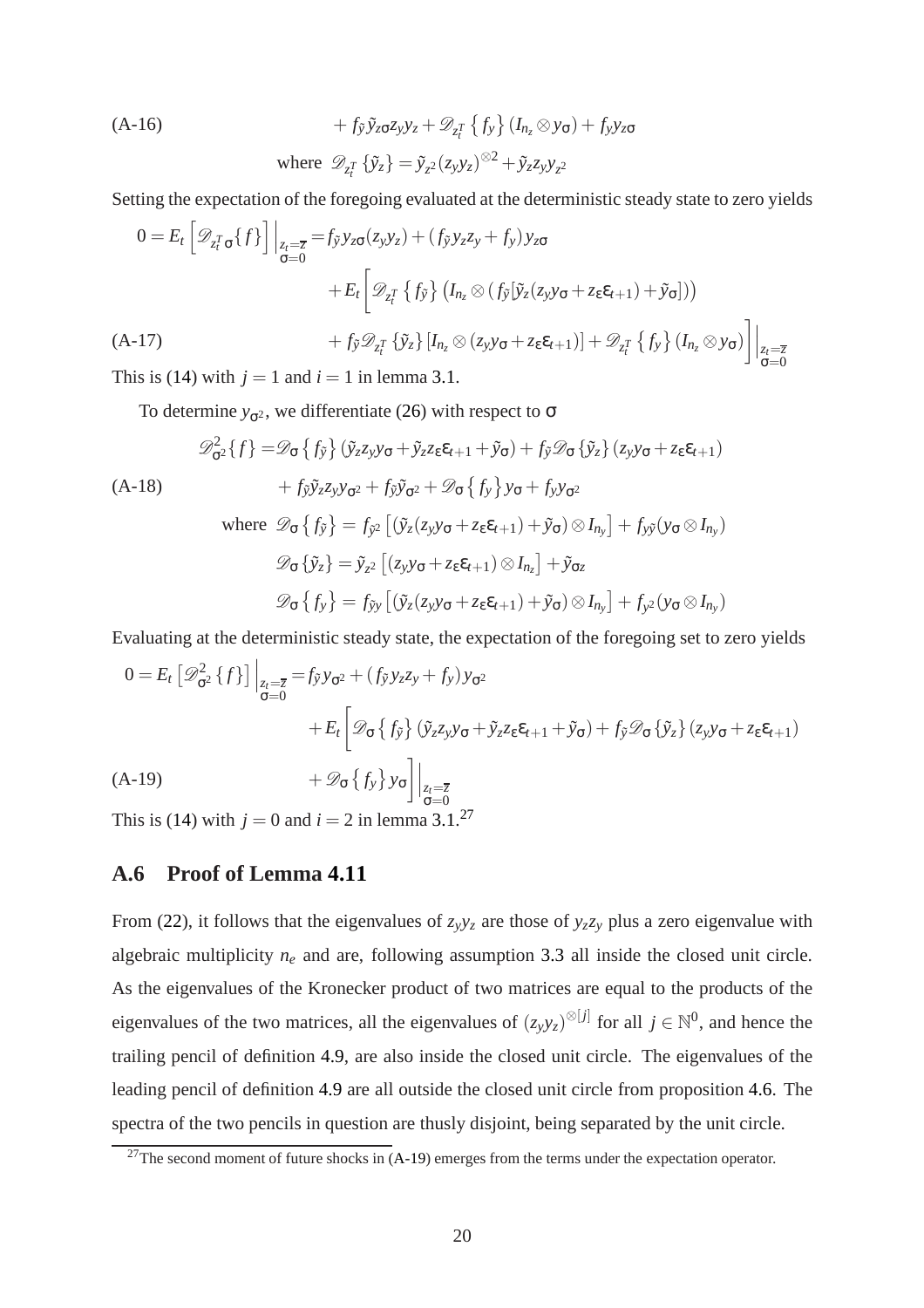<span id="page-21-2"></span>(A-16)  
\n
$$
+f_{\tilde{y}}\tilde{y}_{z\sigma}z_{y}y_{z}+\mathscr{D}_{z_{t}^{T}}\left\{f_{y}\right\}\left(I_{n_{z}}\otimes y_{\sigma}\right)+f_{y}y_{z\sigma}
$$
\nwhere  $\mathscr{D}_{z_{t}^{T}}\left\{\tilde{y}_{z}\right\}=\tilde{y}_{z^{2}}(z_{y}y_{z})^{\otimes2}+\tilde{y}_{z}z_{y}y_{z^{2}}$ 

Setting the expectation of the foregoing evaluated at the deterministic steady state to zero yields

$$
0 = E_t \left[ \mathcal{D}_{z_t^T \sigma} \{ f \} \right] \Big|_{z_t = \overline{z}} = f_{\tilde{y}} y_{z\sigma} (z_y y_z) + (f_{\tilde{y}} y_z z_y + f_y) y_{z\sigma}
$$
  
+ 
$$
E_t \left[ \mathcal{D}_{z_t^T} \{ f_{\tilde{y}} \} (I_{n_z} \otimes (f_{\tilde{y}} [\tilde{y}_z (z_y y_{\sigma} + z_{\epsilon} \epsilon_{t+1}) + \tilde{y}_{\sigma}])) + f_{\tilde{y}} \mathcal{D}_{z_t^T} \{ \tilde{y}_z \} [I_{n_z} \otimes (z_y y_{\sigma} + z_{\epsilon} \epsilon_{t+1})] + \mathcal{D}_{z_t^T} \{ f_y \} (I_{n_z} \otimes y_{\sigma}) \right] \Big|_{\substack{z_t = \overline{z} \\ \sigma = 0}}.
$$

This is [\(14\)](#page-7-3) with  $j = 1$  and  $i = 1$  in lemma [3.1.](#page-7-4)

To determine  $y_{\sigma^2}$ , we differentiate [\(26\)](#page-20-0) with respect to  $\sigma$ 

$$
\mathcal{D}_{\sigma^2}^2 \{ f \} = \mathcal{D}_{\sigma} \{ f_{\tilde{y}} \} \left( \tilde{y}_z z_y y_{\sigma} + \tilde{y}_z z_{\epsilon} \epsilon_{t+1} + \tilde{y}_{\sigma} \right) + f_{\tilde{y}} \mathcal{D}_{\sigma} \{ \tilde{y}_z \} \left( z_y y_{\sigma} + z_{\epsilon} \epsilon_{t+1} \right) \n+ f_{\tilde{y}} \tilde{y}_z z_y y_{\sigma^2} + f_{\tilde{y}} \tilde{y}_{\sigma^2} + \mathcal{D}_{\sigma} \{ f_y \} y_{\sigma} + f_y y_{\sigma^2} \nwhere  $\mathcal{D}_{\sigma} \{ f_{\tilde{y}} \} = f_{\tilde{y}^2} \left[ \left( \tilde{y}_z (z_y y_{\sigma} + z_{\epsilon} \epsilon_{t+1}) + \tilde{y}_{\sigma} \right) \otimes I_{n_y} \right] + f_{y\tilde{y}} (y_{\sigma} \otimes I_{n_y}) \n\mathcal{D}_{\sigma} \{ \tilde{y}_z \} = \tilde{y}_{z^2} \left[ \left( z_y y_{\sigma} + z_{\epsilon} \epsilon_{t+1} \right) \otimes I_{n_z} \right] + \tilde{y}_{\sigma z} \n\mathcal{D}_{\sigma} \{ f_y \} = f_{\tilde{y}y} \left[ \left( \tilde{y}_z (z_y y_{\sigma} + z_{\epsilon} \epsilon_{t+1}) + \tilde{y}_{\sigma} \right) \otimes I_{n_y} \right] + f_{y^2} (y_{\sigma} \otimes I_{n_y})$
$$

Evaluating at the deterministic steady state, the expectation of the foregoing set to zero yields

$$
0 = E_t \left[ \mathcal{D}_{\sigma^2}^2 \{ f \} \right] \Big|_{z_t = \overline{z}} = f_{\tilde{y}} y_{\sigma^2} + (f_{\tilde{y}} y_{z} z_y + f_y) y_{\sigma^2}
$$
  
+ 
$$
E_t \left[ \mathcal{D}_{\sigma} \{ f_{\tilde{y}} \} (\tilde{y}_z z_y y_{\sigma} + \tilde{y}_z z_{\epsilon} \varepsilon_{t+1} + \tilde{y}_{\sigma}) + f_{\tilde{y}} \mathcal{D}_{\sigma} \{ \tilde{y}_z \} (z_y y_{\sigma} + z_{\epsilon} \varepsilon_{t+1})
$$
  
(A-19)  
+ 
$$
\mathcal{D}_{\sigma} \{ f_y \} y_{\sigma} \Big] \Big|_{\substack{z_t = \overline{z} \\ \sigma = 0}}.
$$

<span id="page-21-1"></span>This is [\(14\)](#page-7-3) with  $j = 0$  and  $i = 2$  in lemma [3.1.](#page-7-4) [27](#page-21-0)

### **A.6 Proof of Lemma [4.11](#page-12-1)**

From [\(22\)](#page-12-3), it follows that the eigenvalues of  $z_yy_z$  are those of  $y_zz_y$  plus a zero eigenvalue with algebraic multiplicity *n<sup>e</sup>* and are, following assumption [3.3](#page-8-1) all inside the closed unit circle. As the eigenvalues of the Kronecker product of two matrices are equal to the products of the eigenvalues of the two matrices, all the eigenvalues of  $(z_y y_z)^{\otimes [j]}$  for all  $j \in \mathbb{N}^0$ , and hence the trailing pencil of definition [4.9,](#page-11-3) are also inside the closed unit circle. The eigenvalues of the leading pencil of definition [4.9](#page-11-3) are all outside the closed unit circle from proposition [4.6.](#page-10-0) The spectra of the two pencils in question are thusly disjoint, being separated by the unit circle.

<span id="page-21-0"></span> $^{27}$ The second moment of future shocks in [\(A-19\)](#page-21-1) emerges from the terms under the expectation operator.